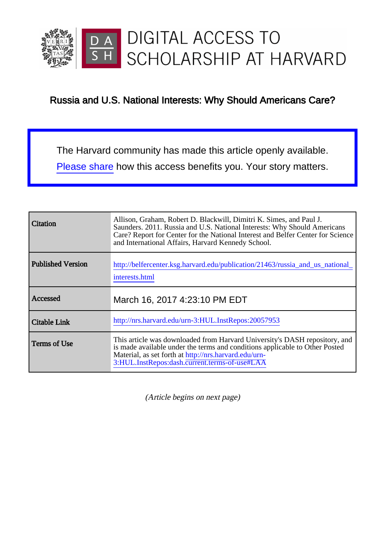

### Russia and U.S. National Interests: Why Should Americans Care?

The Harvard community has made this article openly available. [Please share](http://osc.hul.harvard.edu/dash/open-access-feedback?handle=1/20057953&title=Russia+and+U.S.+National+Interests%3A+Why+Should+Americans+Care%3F&community=1/3345933&collection=1/3345934&owningCollection1/3345934&harvardAuthors=f6ab1cac84fd6afff65c9b4b076b951f,null,null,null&department=NONE) how this access benefits you. Your story matters.

| Citation                 | Allison, Graham, Robert D. Blackwill, Dimitri K. Simes, and Paul J.<br>Saunders. 2011. Russia and U.S. National Interests: Why Should Americans<br>Care? Report for Center for the National Interest and Belfer Center for Science<br>and International Affairs, Harvard Kennedy School. |  |
|--------------------------|------------------------------------------------------------------------------------------------------------------------------------------------------------------------------------------------------------------------------------------------------------------------------------------|--|
| <b>Published Version</b> | http://belfercenter.ksg.harvard.edu/publication/21463/russia_and_us_national_<br>interests.html                                                                                                                                                                                          |  |
| Accessed                 | March 16, 2017 4:23:10 PM EDT                                                                                                                                                                                                                                                            |  |
| Citable Link             | http://nrs.harvard.edu/urn-3:HUL.InstRepos:20057953                                                                                                                                                                                                                                      |  |
|                          |                                                                                                                                                                                                                                                                                          |  |

(Article begins on next page)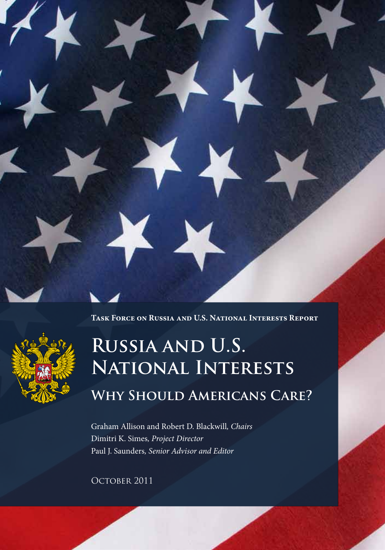

**Task Force on Russia and U.S. National Interests Report**



# **Russia and U.S. National Interests Why Should Americans Care?**

Graham Allison and Robert D. Blackwill*, Chairs* Dimitri K. Simes*, Project Director* Paul J. Saunders*, Senior Advisor and Editor*

OCTOBER 2011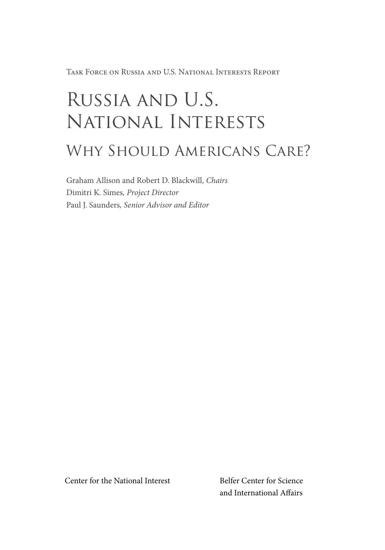Task Force on Russia and U.S. National Interests Report

# Russia and U.S. National Interests

## WHY SHOULD AMERICANS CARE?

Graham Allison and Robert D. Blackwill*, Chairs* Dimitri K. Simes*, Project Director* Paul J. Saunders*, Senior Advisor and Editor*

Center for the National Interest Belfer Center for Science

and International Affairs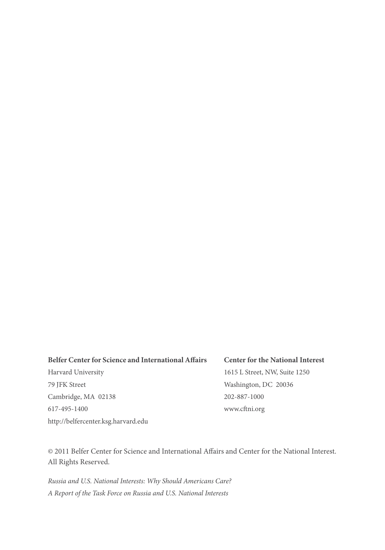#### **Belfer Center for Science and International Affairs**

Harvard University 79 JFK Street Cambridge, MA 02138 617-495-1400 http://belfercenter.ksg.harvard.edu

#### **Center for the National Interest**

1615 L Street, NW, Suite 1250 Washington, DC 20036 202-887-1000 www.cftni.org

© 2011 Belfer Center for Science and International Affairs and Center for the National Interest. All Rights Reserved.

*Russia and U.S. National Interests: Why Should Americans Care? A Report of the Task Force on Russia and U.S. National Interests*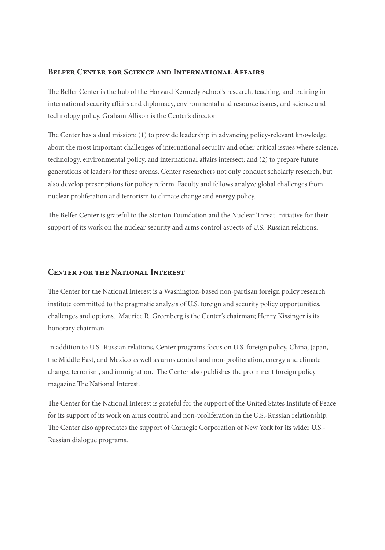#### **Belfer Center for Science and International Affairs**

The Belfer Center is the hub of the Harvard Kennedy School's research, teaching, and training in international security affairs and diplomacy, environmental and resource issues, and science and technology policy. Graham Allison is the Center's director.

The Center has a dual mission: (1) to provide leadership in advancing policy-relevant knowledge about the most important challenges of international security and other critical issues where science, technology, environmental policy, and international affairs intersect; and (2) to prepare future generations of leaders for these arenas. Center researchers not only conduct scholarly research, but also develop prescriptions for policy reform. Faculty and fellows analyze global challenges from nuclear proliferation and terrorism to climate change and energy policy.

The Belfer Center is grateful to the Stanton Foundation and the Nuclear Threat Initiative for their support of its work on the nuclear security and arms control aspects of U.S.-Russian relations.

#### **Center for the National Interest**

The Center for the National Interest is a Washington-based non-partisan foreign policy research institute committed to the pragmatic analysis of U.S. foreign and security policy opportunities, challenges and options. Maurice R. Greenberg is the Center's chairman; Henry Kissinger is its honorary chairman.

In addition to U.S.-Russian relations, Center programs focus on U.S. foreign policy, China, Japan, the Middle East, and Mexico as well as arms control and non-proliferation, energy and climate change, terrorism, and immigration. The Center also publishes the prominent foreign policy magazine The National Interest.

The Center for the National Interest is grateful for the support of the United States Institute of Peace for its support of its work on arms control and non-proliferation in the U.S.-Russian relationship. The Center also appreciates the support of Carnegie Corporation of New York for its wider U.S.- Russian dialogue programs.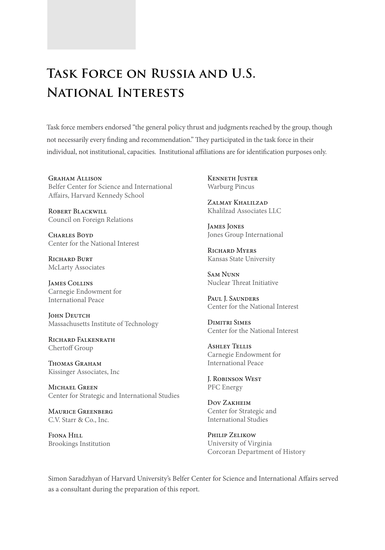## **Task Force on Russia and U.S. National Interests**

Task force members endorsed "the general policy thrust and judgments reached by the group, though not necessarily every finding and recommendation." They participated in the task force in their individual, not institutional, capacities. Institutional affiliations are for identification purposes only.

Graham Allison Belfer Center for Science and International Affairs, Harvard Kennedy School

Robert Blackwill Council on Foreign Relations

CHARLES BOYD Center for the National Interest

RICHARD BURT McLarty Associates

James Collins Carnegie Endowment for International Peace

**JOHN DEUTCH** Massachusetts Institute of Technology

Richard Falkenrath Chertoff Group

THOMAS GRAHAM Kissinger Associates, Inc

MICHAEL GREEN Center for Strategic and International Studies

Maurice Greenberg C.V. Starr & Co., Inc.

Fiona Hill Brookings Institution Kenneth Juster Warburg Pincus

Zalmay Khalilzad Khalilzad Associates LLC

James Jones Jones Group International

RICHARD MYERS Kansas State University

Sam Nunn Nuclear Threat Initiative

Paul J. Saunders Center for the National Interest

Dimitri Simes Center for the National Interest

Ashley Tellis Carnegie Endowment for International Peace

J. Robinson West PFC Energy

Dov Zakheim Center for Strategic and International Studies

Philip Zelikow University of Virginia Corcoran Department of History

Simon Saradzhyan of Harvard University's Belfer Center for Science and International Affairs served as a consultant during the preparation of this report.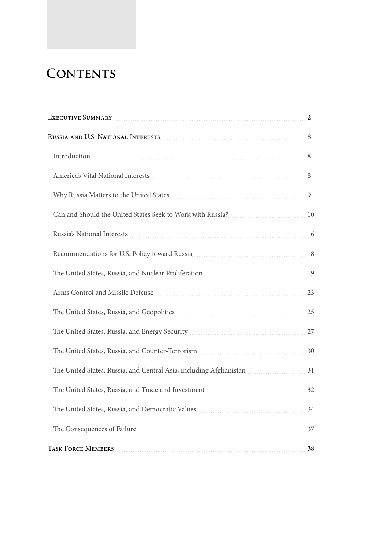## **CONTENTS**

| EXECUTIVE SUMMARY                                                    | 2  |
|----------------------------------------------------------------------|----|
|                                                                      | 8  |
|                                                                      | 8  |
|                                                                      |    |
|                                                                      | 9  |
| Can and Should the United States Seek to Work with Russia?<br>10. 10 |    |
|                                                                      | 16 |
|                                                                      |    |
|                                                                      | 19 |
| Arms Control and Missile Defense                                     | 23 |
|                                                                      | 25 |
|                                                                      | 27 |
| The United States, Russia, and Counter-Terrorism                     | 30 |
| The United States, Russia, and Central Asia, including Afghanistan   | 31 |
|                                                                      | 32 |
|                                                                      | 34 |
| The Consequences of Failure                                          | 37 |
| <b>TASK FORCE MEMBERS</b>                                            | 38 |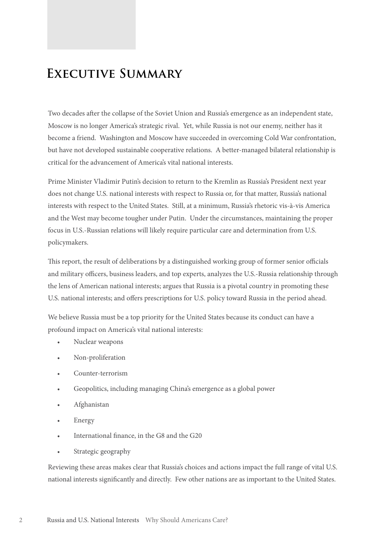## **Executive Summary**

Two decades after the collapse of the Soviet Union and Russia's emergence as an independent state, Moscow is no longer America's strategic rival. Yet, while Russia is not our enemy, neither has it become a friend. Washington and Moscow have succeeded in overcoming Cold War confrontation, but have not developed sustainable cooperative relations. A better-managed bilateral relationship is critical for the advancement of America's vital national interests.

Prime Minister Vladimir Putin's decision to return to the Kremlin as Russia's President next year does not change U.S. national interests with respect to Russia or, for that matter, Russia's national interests with respect to the United States. Still, at a minimum, Russia's rhetoric vis-à-vis America and the West may become tougher under Putin. Under the circumstances, maintaining the proper focus in U.S.-Russian relations will likely require particular care and determination from U.S. policymakers.

This report, the result of deliberations by a distinguished working group of former senior officials and military officers, business leaders, and top experts, analyzes the U.S.-Russia relationship through the lens of American national interests; argues that Russia is a pivotal country in promoting these U.S. national interests; and offers prescriptions for U.S. policy toward Russia in the period ahead.

We believe Russia must be a top priority for the United States because its conduct can have a profound impact on America's vital national interests:

- Nuclear weapons
- Non-proliferation
- Counter-terrorism
- Geopolitics, including managing China's emergence as a global power
- Afghanistan
- **Energy**
- International finance, in the G8 and the G20
- Strategic geography

Reviewing these areas makes clear that Russia's choices and actions impact the full range of vital U.S. national interests significantly and directly. Few other nations are as important to the United States.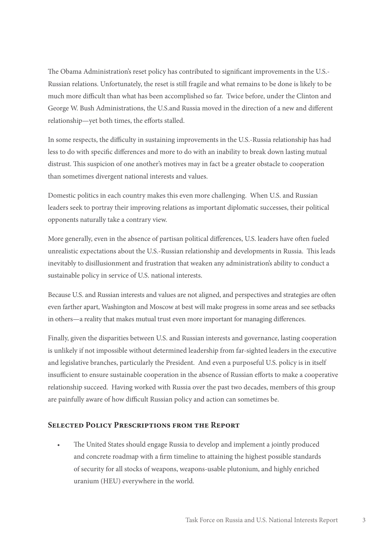The Obama Administration's reset policy has contributed to significant improvements in the U.S.- Russian relations. Unfortunately, the reset is still fragile and what remains to be done is likely to be much more difficult than what has been accomplished so far. Twice before, under the Clinton and George W. Bush Administrations, the U.S.and Russia moved in the direction of a new and different relationship—yet both times, the efforts stalled.

In some respects, the difficulty in sustaining improvements in the U.S.-Russia relationship has had less to do with specific differences and more to do with an inability to break down lasting mutual distrust. This suspicion of one another's motives may in fact be a greater obstacle to cooperation than sometimes divergent national interests and values.

Domestic politics in each country makes this even more challenging. When U.S. and Russian leaders seek to portray their improving relations as important diplomatic successes, their political opponents naturally take a contrary view.

More generally, even in the absence of partisan political differences, U.S. leaders have often fueled unrealistic expectations about the U.S.-Russian relationship and developments in Russia. This leads inevitably to disillusionment and frustration that weaken any administration's ability to conduct a sustainable policy in service of U.S. national interests.

Because U.S. and Russian interests and values are not aligned, and perspectives and strategies are often even farther apart, Washington and Moscow at best will make progress in some areas and see setbacks in others—a reality that makes mutual trust even more important for managing differences.

Finally, given the disparities between U.S. and Russian interests and governance, lasting cooperation is unlikely if not impossible without determined leadership from far-sighted leaders in the executive and legislative branches, particularly the President. And even a purposeful U.S. policy is in itself insufficient to ensure sustainable cooperation in the absence of Russian efforts to make a cooperative relationship succeed. Having worked with Russia over the past two decades, members of this group are painfully aware of how difficult Russian policy and action can sometimes be.

#### **Selected Policy Prescriptions from the Report**

• The United States should engage Russia to develop and implement a jointly produced and concrete roadmap with a firm timeline to attaining the highest possible standards of security for all stocks of weapons, weapons-usable plutonium, and highly enriched uranium (HEU) everywhere in the world.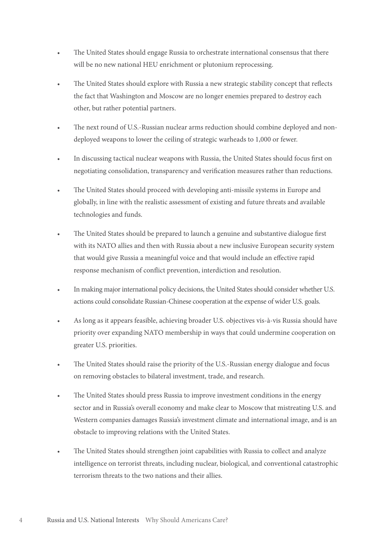- The United States should engage Russia to orchestrate international consensus that there will be no new national HEU enrichment or plutonium reprocessing.
- The United States should explore with Russia a new strategic stability concept that reflects the fact that Washington and Moscow are no longer enemies prepared to destroy each other, but rather potential partners.
- The next round of U.S.-Russian nuclear arms reduction should combine deployed and nondeployed weapons to lower the ceiling of strategic warheads to 1,000 or fewer.
- In discussing tactical nuclear weapons with Russia, the United States should focus first on negotiating consolidation, transparency and verification measures rather than reductions.
- The United States should proceed with developing anti-missile systems in Europe and globally, in line with the realistic assessment of existing and future threats and available technologies and funds.
- The United States should be prepared to launch a genuine and substantive dialogue first with its NATO allies and then with Russia about a new inclusive European security system that would give Russia a meaningful voice and that would include an effective rapid response mechanism of conflict prevention, interdiction and resolution.
- In making major international policy decisions, the United States should consider whether U.S. actions could consolidate Russian-Chinese cooperation at the expense of wider U.S. goals.
- As long as it appears feasible, achieving broader U.S. objectives vis-à-vis Russia should have priority over expanding NATO membership in ways that could undermine cooperation on greater U.S. priorities.
- The United States should raise the priority of the U.S.-Russian energy dialogue and focus on removing obstacles to bilateral investment, trade, and research.
- The United States should press Russia to improve investment conditions in the energy sector and in Russia's overall economy and make clear to Moscow that mistreating U.S. and Western companies damages Russia's investment climate and international image, and is an obstacle to improving relations with the United States.
- The United States should strengthen joint capabilities with Russia to collect and analyze intelligence on terrorist threats, including nuclear, biological, and conventional catastrophic terrorism threats to the two nations and their allies.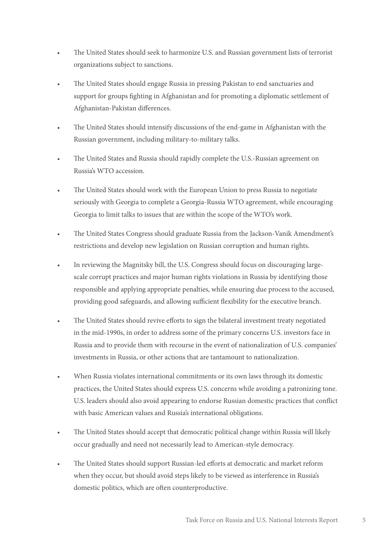- The United States should seek to harmonize U.S. and Russian government lists of terrorist organizations subject to sanctions.
- The United States should engage Russia in pressing Pakistan to end sanctuaries and support for groups fighting in Afghanistan and for promoting a diplomatic settlement of Afghanistan-Pakistan differences.
- The United States should intensify discussions of the end-game in Afghanistan with the Russian government, including military-to-military talks.
- The United States and Russia should rapidly complete the U.S.-Russian agreement on Russia's WTO accession.
- The United States should work with the European Union to press Russia to negotiate seriously with Georgia to complete a Georgia-Russia WTO agreement, while encouraging Georgia to limit talks to issues that are within the scope of the WTO's work.
- The United States Congress should graduate Russia from the Jackson-Vanik Amendment's restrictions and develop new legislation on Russian corruption and human rights.
- In reviewing the Magnitsky bill, the U.S. Congress should focus on discouraging largescale corrupt practices and major human rights violations in Russia by identifying those responsible and applying appropriate penalties, while ensuring due process to the accused, providing good safeguards, and allowing sufficient flexibility for the executive branch.
- The United States should revive efforts to sign the bilateral investment treaty negotiated in the mid-1990s, in order to address some of the primary concerns U.S. investors face in Russia and to provide them with recourse in the event of nationalization of U.S. companies' investments in Russia, or other actions that are tantamount to nationalization.
- When Russia violates international commitments or its own laws through its domestic practices, the United States should express U.S. concerns while avoiding a patronizing tone. U.S. leaders should also avoid appearing to endorse Russian domestic practices that conflict with basic American values and Russia's international obligations.
- The United States should accept that democratic political change within Russia will likely occur gradually and need not necessarily lead to American-style democracy.
- The United States should support Russian-led efforts at democratic and market reform when they occur, but should avoid steps likely to be viewed as interference in Russia's domestic politics, which are often counterproductive.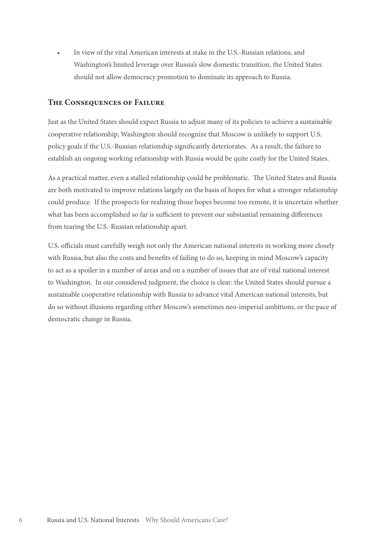• In view of the vital American interests at stake in the U.S.-Russian relations, and Washington's limited leverage over Russia's slow domestic transition, the United States should not allow democracy promotion to dominate its approach to Russia.

#### **The Consequences of Failure**

Just as the United States should expect Russia to adjust many of its policies to achieve a sustainable cooperative relationship, Washington should recognize that Moscow is unlikely to support U.S. policy goals if the U.S.-Russian relationship significantly deteriorates. As a result, the failure to establish an ongoing working relationship with Russia would be quite costly for the United States.

As a practical matter, even a stalled relationship could be problematic. The United States and Russia are both motivated to improve relations largely on the basis of hopes for what a stronger relationship could produce. If the prospects for realizing those hopes become too remote, it is uncertain whether what has been accomplished so far is sufficient to prevent our substantial remaining differences from tearing the U.S.-Russian relationship apart.

U.S. officials must carefully weigh not only the American national interests in working more closely with Russia, but also the costs and benefits of failing to do so, keeping in mind Moscow's capacity to act as a spoiler in a number of areas and on a number of issues that are of vital national interest to Washington. In our considered judgment, the choice is clear: the United States should pursue a sustainable cooperative relationship with Russia to advance vital American national interests, but do so without illusions regarding either Moscow's sometimes neo-imperial ambitions, or the pace of democratic change in Russia.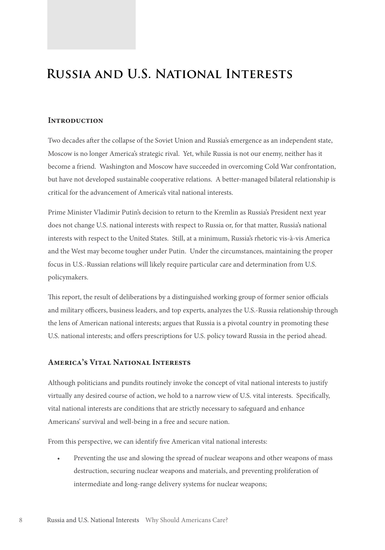### **Russia and U.S. National Interests**

#### **Introduction**

Two decades after the collapse of the Soviet Union and Russia's emergence as an independent state, Moscow is no longer America's strategic rival. Yet, while Russia is not our enemy, neither has it become a friend. Washington and Moscow have succeeded in overcoming Cold War confrontation, but have not developed sustainable cooperative relations. A better-managed bilateral relationship is critical for the advancement of America's vital national interests.

Prime Minister Vladimir Putin's decision to return to the Kremlin as Russia's President next year does not change U.S. national interests with respect to Russia or, for that matter, Russia's national interests with respect to the United States. Still, at a minimum, Russia's rhetoric vis-à-vis America and the West may become tougher under Putin. Under the circumstances, maintaining the proper focus in U.S.-Russian relations will likely require particular care and determination from U.S. policymakers.

This report, the result of deliberations by a distinguished working group of former senior officials and military officers, business leaders, and top experts, analyzes the U.S.-Russia relationship through the lens of American national interests; argues that Russia is a pivotal country in promoting these U.S. national interests; and offers prescriptions for U.S. policy toward Russia in the period ahead.

#### **America's Vital National Interests**

Although politicians and pundits routinely invoke the concept of vital national interests to justify virtually any desired course of action, we hold to a narrow view of U.S. vital interests. Specifically, vital national interests are conditions that are strictly necessary to safeguard and enhance Americans' survival and well-being in a free and secure nation.

From this perspective, we can identify five American vital national interests:

• Preventing the use and slowing the spread of nuclear weapons and other weapons of mass destruction, securing nuclear weapons and materials, and preventing proliferation of intermediate and long-range delivery systems for nuclear weapons;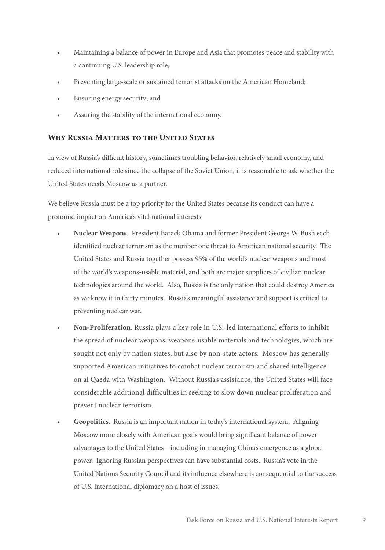- Maintaining a balance of power in Europe and Asia that promotes peace and stability with a continuing U.S. leadership role;
- Preventing large-scale or sustained terrorist attacks on the American Homeland;
- Ensuring energy security; and
- Assuring the stability of the international economy.

#### **Why Russia Matters to the United States**

In view of Russia's difficult history, sometimes troubling behavior, relatively small economy, and reduced international role since the collapse of the Soviet Union, it is reasonable to ask whether the United States needs Moscow as a partner.

We believe Russia must be a top priority for the United States because its conduct can have a profound impact on America's vital national interests:

- **Nuclear Weapons**. President Barack Obama and former President George W. Bush each identified nuclear terrorism as the number one threat to American national security. The United States and Russia together possess 95% of the world's nuclear weapons and most of the world's weapons-usable material, and both are major suppliers of civilian nuclear technologies around the world. Also, Russia is the only nation that could destroy America as we know it in thirty minutes. Russia's meaningful assistance and support is critical to preventing nuclear war.
- **Non-Proliferation**. Russia plays a key role in U.S.-led international efforts to inhibit the spread of nuclear weapons, weapons-usable materials and technologies, which are sought not only by nation states, but also by non-state actors. Moscow has generally supported American initiatives to combat nuclear terrorism and shared intelligence on al Qaeda with Washington. Without Russia's assistance, the United States will face considerable additional difficulties in seeking to slow down nuclear proliferation and prevent nuclear terrorism.
- **Geopolitics**. Russia is an important nation in today's international system. Aligning Moscow more closely with American goals would bring significant balance of power advantages to the United States—including in managing China's emergence as a global power. Ignoring Russian perspectives can have substantial costs. Russia's vote in the United Nations Security Council and its influence elsewhere is consequential to the success of U.S. international diplomacy on a host of issues.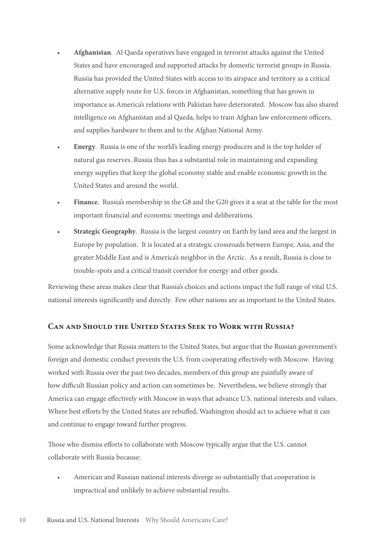- **Afghanistan**. Al Qaeda operatives have engaged in terrorist attacks against the United States and have encouraged and supported attacks by domestic terrorist groups in Russia. Russia has provided the United States with access to its airspace and territory as a critical alternative supply route for U.S. forces in Afghanistan, something that has grown in importance as America's relations with Pakistan have deteriorated. Moscow has also shared intelligence on Afghanistan and al Qaeda, helps to train Afghan law enforcement officers, and supplies hardware to them and to the Afghan National Army.
- **Energy**. Russia is one of the world's leading energy producers and is the top holder of natural gas reserves .Russia thus has a substantial role in maintaining and expanding energy supplies that keep the global economy stable and enable economic growth in the United States and around the world.
- **Finance**. Russia's membership in the G8 and the G20 gives it a seat at the table for the most important financial and economic meetings and deliberations.
- **Strategic Geography**. Russia is the largest country on Earth by land area and the largest in Europe by population. It is located at a strategic crossroads between Europe, Asia, and the greater Middle East and is America's neighbor in the Arctic. As a result, Russia is close to trouble-spots and a critical transit corridor for energy and other goods.

Reviewing these areas makes clear that Russia's choices and actions impact the full range of vital U.S. national interests significantly and directly. Few other nations are as important to the United States.

#### **Can and Should the United States Seek to Work with Russia?**

Some acknowledge that Russia matters to the United States, but argue that the Russian government's foreign and domestic conduct prevents the U.S. from cooperating effectively with Moscow. Having worked with Russia over the past two decades, members of this group are painfully aware of how difficult Russian policy and action can sometimes be. Nevertheless, we believe strongly that America can engage effectively with Moscow in ways that advance U.S. national interests and values. Where best efforts by the United States are rebuffed, Washington should act to achieve what it can and continue to engage toward further progress.

Those who dismiss efforts to collaborate with Moscow typically argue that the U.S. cannot collaborate with Russia because:

• American and Russian national interests diverge so substantially that cooperation is impractical and unlikely to achieve substantial results.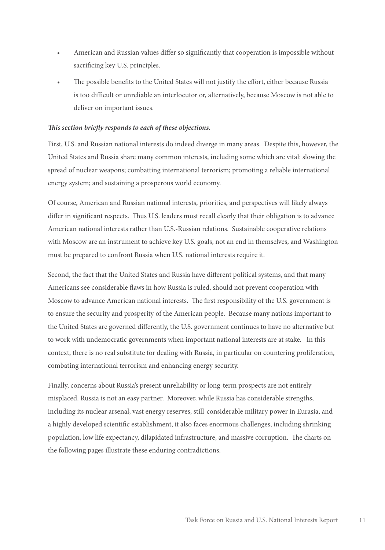- American and Russian values differ so significantly that cooperation is impossible without sacrificing key U.S. principles.
- The possible benefits to the United States will not justify the effort, either because Russia is too difficult or unreliable an interlocutor or, alternatively, because Moscow is not able to deliver on important issues.

#### *This section briefly responds to each of these objections.*

First, U.S. and Russian national interests do indeed diverge in many areas. Despite this, however, the United States and Russia share many common interests, including some which are vital: slowing the spread of nuclear weapons; combatting international terrorism; promoting a reliable international energy system; and sustaining a prosperous world economy.

Of course, American and Russian national interests, priorities, and perspectives will likely always differ in significant respects. Thus U.S. leaders must recall clearly that their obligation is to advance American national interests rather than U.S.-Russian relations. Sustainable cooperative relations with Moscow are an instrument to achieve key U.S. goals, not an end in themselves, and Washington must be prepared to confront Russia when U.S. national interests require it.

Second, the fact that the United States and Russia have different political systems, and that many Americans see considerable flaws in how Russia is ruled, should not prevent cooperation with Moscow to advance American national interests. The first responsibility of the U.S. government is to ensure the security and prosperity of the American people. Because many nations important to the United States are governed differently, the U.S. government continues to have no alternative but to work with undemocratic governments when important national interests are at stake. In this context, there is no real substitute for dealing with Russia, in particular on countering proliferation, combating international terrorism and enhancing energy security.

Finally, concerns about Russia's present unreliability or long-term prospects are not entirely misplaced. Russia is not an easy partner. Moreover, while Russia has considerable strengths, including its nuclear arsenal, vast energy reserves, still-considerable military power in Eurasia, and a highly developed scientific establishment, it also faces enormous challenges, including shrinking population, low life expectancy, dilapidated infrastructure, and massive corruption. The charts on the following pages illustrate these enduring contradictions.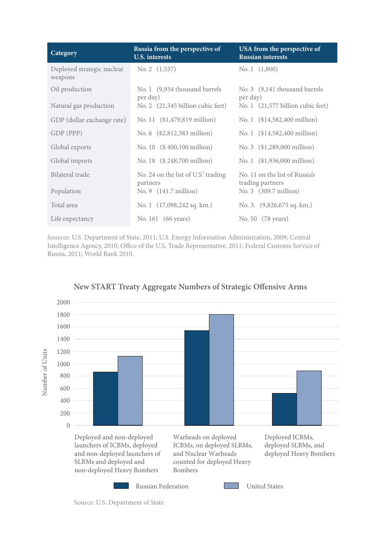| Category                              | Russia from the perspective of<br><b>U.S.</b> interests | USA from the perspective of<br><b>Russian interests</b> |
|---------------------------------------|---------------------------------------------------------|---------------------------------------------------------|
| Deployed strategic nuclear<br>weapons | No. 2 $(1,537)$                                         | No. 1 $(1,800)$                                         |
| Oil production                        | No. 1 (9,934 thousand barrels<br>per day)               | No. 3 (9,141 thousand barrels<br>per day)               |
| Natural gas production                | No. 2 (21,545 billion cubic feet)                       | No. 1 (21,577 billion cubic feet)                       |
| GDP (dollar exchange rate)            | No. 11 (\$1,479,819 million)                            | No. 1 (\$14,582,400 million)                            |
| GDP (PPP)                             | No. 6 (\$2,812,383 million)                             | No. 1 (\$14,582,400 million)                            |
| Global exports                        | No. 10 $($400,100 \text{ million})$                     | No. 3 (\$1,289,000 million)                             |
| Global imports                        | No. 18 (\$248,700 million)                              | No. 1 (\$1,936,000 million)                             |
| Bilateral trade                       | No. 24 on the list of U.S.' trading<br>partners         | No. 11 on the list of Russia's<br>trading partners      |
| Population                            | No. $9(141.7 \text{ million})$                          | No. 3 (309.7 million)                                   |
| Total area                            | No. 1 $(17,098,242 \text{ sq. km.})$                    | No. 3. (9,826,675 sq. km.)                              |
| Life expectancy                       | No. 161 (66 years)                                      | No. 50 (78 years)                                       |

Sources: U.S. Department of State, 2011; U.S. Energy Information Administration, 2009; Central Intelligence Agency, 2010; Office of the U.S. Trade Representative, 2011; Federal Customs Service of Russia, 2011; World Bank 2010.



#### **New START Treaty Aggregate Numbers of Strategic Offensive Arms**

Source: U.S. Department of State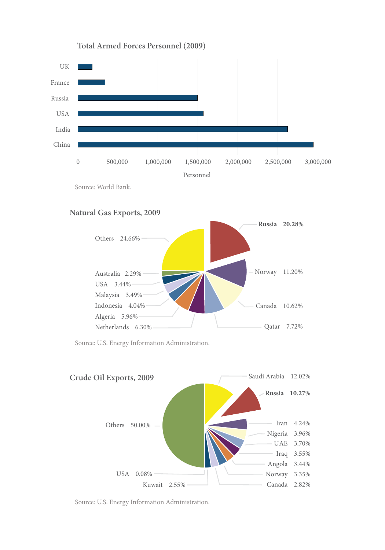

**Total Armed Forces Personnel (2009)**

Source: World Bank.

#### **Natural Gas Exports, 2009**



Source: U.S. Energy Information Administration.



Source: U.S. Energy Information Administration.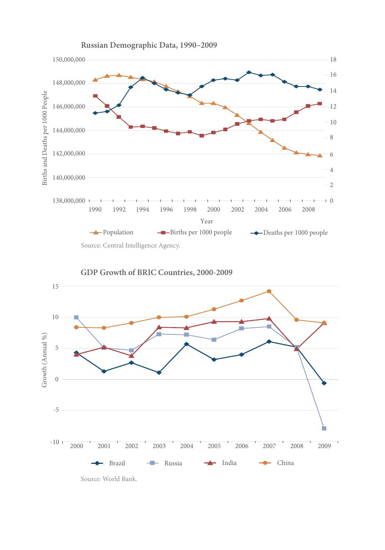





Source: World Bank.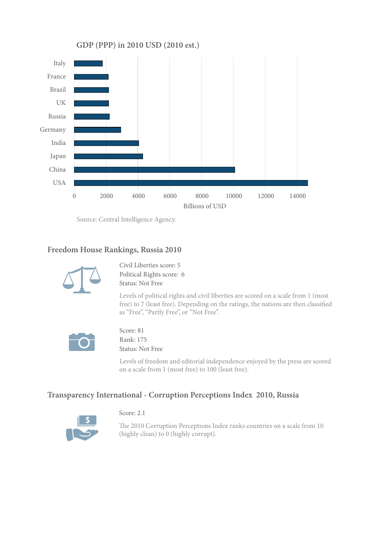

Source: Central Intelligence Agency.

#### **Freedom House Rankings, Russia 2010**



Civil Liberties score: 5 Political Rights score: 6 Status: Not Free

Levels of political rights and civil liberties are scored on a scale from 1 (most free) to 7 (least free). Depending on the ratings, the nations are then classified as "Free", "Partly Free", or "Not Free".



Score: 81 Rank: 175 Status: Not Free

Score: 2.1

Levels of freedom and editorial independence enjoyed by the press are scored on a scale from 1 (most free) to 100 (least free).

#### **Transparency International - Corruption Perceptions Index 2010, Russia**



The 2010 Corruption Perceptions Index ranks countries on a scale from 10 (highly clean) to 0 (highly corrupt).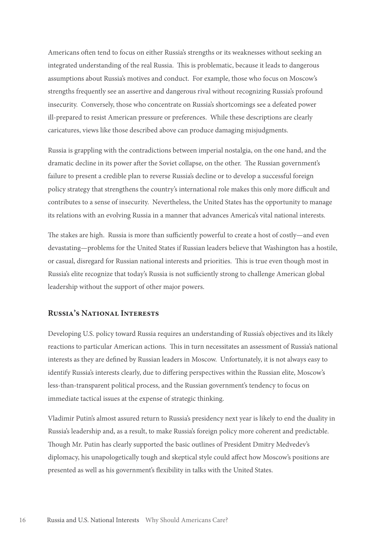Americans often tend to focus on either Russia's strengths or its weaknesses without seeking an integrated understanding of the real Russia. This is problematic, because it leads to dangerous assumptions about Russia's motives and conduct. For example, those who focus on Moscow's strengths frequently see an assertive and dangerous rival without recognizing Russia's profound insecurity. Conversely, those who concentrate on Russia's shortcomings see a defeated power ill-prepared to resist American pressure or preferences. While these descriptions are clearly caricatures, views like those described above can produce damaging misjudgments.

Russia is grappling with the contradictions between imperial nostalgia, on the one hand, and the dramatic decline in its power after the Soviet collapse, on the other. The Russian government's failure to present a credible plan to reverse Russia's decline or to develop a successful foreign policy strategy that strengthens the country's international role makes this only more difficult and contributes to a sense of insecurity. Nevertheless, the United States has the opportunity to manage its relations with an evolving Russia in a manner that advances America's vital national interests.

The stakes are high. Russia is more than sufficiently powerful to create a host of costly—and even devastating—problems for the United States if Russian leaders believe that Washington has a hostile, or casual, disregard for Russian national interests and priorities. This is true even though most in Russia's elite recognize that today's Russia is not sufficiently strong to challenge American global leadership without the support of other major powers.

#### **Russia's National Interests**

Developing U.S. policy toward Russia requires an understanding of Russia's objectives and its likely reactions to particular American actions. This in turn necessitates an assessment of Russia's national interests as they are defined by Russian leaders in Moscow. Unfortunately, it is not always easy to identify Russia's interests clearly, due to differing perspectives within the Russian elite, Moscow's less-than-transparent political process, and the Russian government's tendency to focus on immediate tactical issues at the expense of strategic thinking.

Vladimir Putin's almost assured return to Russia's presidency next year is likely to end the duality in Russia's leadership and, as a result, to make Russia's foreign policy more coherent and predictable. Though Mr. Putin has clearly supported the basic outlines of President Dmitry Medvedev's diplomacy, his unapologetically tough and skeptical style could affect how Moscow's positions are presented as well as his government's flexibility in talks with the United States.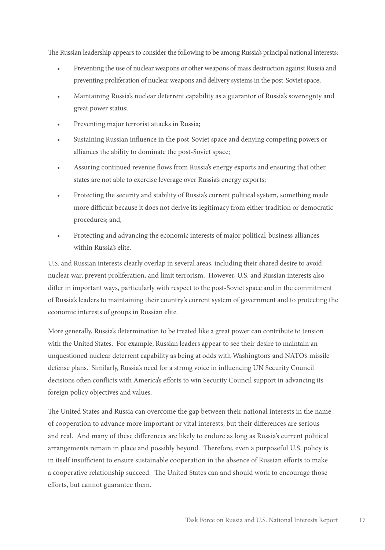The Russian leadership appears to consider the following to be among Russia's principal national interests:

- Preventing the use of nuclear weapons or other weapons of mass destruction against Russia and preventing proliferation of nuclear weapons and delivery systems in the post-Soviet space;
- Maintaining Russia's nuclear deterrent capability as a guarantor of Russia's sovereignty and great power status;
- Preventing major terrorist attacks in Russia;
- Sustaining Russian influence in the post-Soviet space and denying competing powers or alliances the ability to dominate the post-Soviet space;
- Assuring continued revenue flows from Russia's energy exports and ensuring that other states are not able to exercise leverage over Russia's energy exports;
- Protecting the security and stability of Russia's current political system, something made more difficult because it does not derive its legitimacy from either tradition or democratic procedures; and,
- Protecting and advancing the economic interests of major political-business alliances within Russia's elite.

U.S. and Russian interests clearly overlap in several areas, including their shared desire to avoid nuclear war, prevent proliferation, and limit terrorism. However, U.S. and Russian interests also differ in important ways, particularly with respect to the post-Soviet space and in the commitment of Russia's leaders to maintaining their country's current system of government and to protecting the economic interests of groups in Russian elite.

More generally, Russia's determination to be treated like a great power can contribute to tension with the United States. For example, Russian leaders appear to see their desire to maintain an unquestioned nuclear deterrent capability as being at odds with Washington's and NATO's missile defense plans. Similarly, Russia's need for a strong voice in influencing UN Security Council decisions often conflicts with America's efforts to win Security Council support in advancing its foreign policy objectives and values.

The United States and Russia can overcome the gap between their national interests in the name of cooperation to advance more important or vital interests, but their differences are serious and real. And many of these differences are likely to endure as long as Russia's current political arrangements remain in place and possibly beyond. Therefore, even a purposeful U.S. policy is in itself insufficient to ensure sustainable cooperation in the absence of Russian efforts to make a cooperative relationship succeed. The United States can and should work to encourage those efforts, but cannot guarantee them.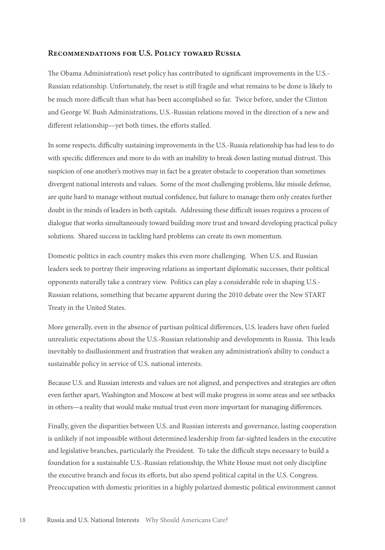#### **Recommendations for U.S. Policy toward Russia**

The Obama Administration's reset policy has contributed to significant improvements in the U.S.- Russian relationship. Unfortunately, the reset is still fragile and what remains to be done is likely to be much more difficult than what has been accomplished so far. Twice before, under the Clinton and George W. Bush Administrations, U.S.-Russian relations moved in the direction of a new and different relationship—yet both times, the efforts stalled.

In some respects, difficulty sustaining improvements in the U.S.-Russia relationship has had less to do with specific differences and more to do with an inability to break down lasting mutual distrust. This suspicion of one another's motives may in fact be a greater obstacle to cooperation than sometimes divergent national interests and values. Some of the most challenging problems, like missile defense, are quite hard to manage without mutual confidence, but failure to manage them only creates further doubt in the minds of leaders in both capitals. Addressing these difficult issues requires a process of dialogue that works simultaneously toward building more trust and toward developing practical policy solutions. Shared success in tackling hard problems can create its own momentum.

Domestic politics in each country makes this even more challenging. When U.S. and Russian leaders seek to portray their improving relations as important diplomatic successes, their political opponents naturally take a contrary view. Politics can play a considerable role in shaping U.S.- Russian relations, something that became apparent during the 2010 debate over the New START Treaty in the United States.

More generally, even in the absence of partisan political differences, U.S. leaders have often fueled unrealistic expectations about the U.S.-Russian relationship and developments in Russia. This leads inevitably to disillusionment and frustration that weaken any administration's ability to conduct a sustainable policy in service of U.S. national interests.

Because U.S. and Russian interests and values are not aligned, and perspectives and strategies are often even farther apart, Washington and Moscow at best will make progress in some areas and see setbacks in others—a reality that would make mutual trust even more important for managing differences.

Finally, given the disparities between U.S. and Russian interests and governance, lasting cooperation is unlikely if not impossible without determined leadership from far-sighted leaders in the executive and legislative branches, particularly the President. To take the difficult steps necessary to build a foundation for a sustainable U.S.-Russian relationship, the White House must not only discipline the executive branch and focus its efforts, but also spend political capital in the U.S. Congress. Preoccupation with domestic priorities in a highly polarized domestic political environment cannot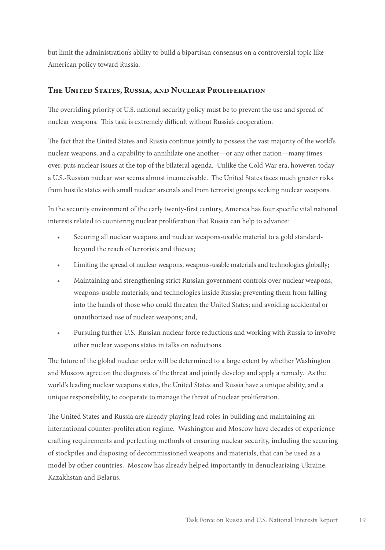but limit the administration's ability to build a bipartisan consensus on a controversial topic like American policy toward Russia.

#### **The United States, Russia, and Nuclear Proliferation**

The overriding priority of U.S. national security policy must be to prevent the use and spread of nuclear weapons. This task is extremely difficult without Russia's cooperation.

The fact that the United States and Russia continue jointly to possess the vast majority of the world's nuclear weapons, and a capability to annihilate one another—or any other nation—many times over, puts nuclear issues at the top of the bilateral agenda. Unlike the Cold War era, however, today a U.S.-Russian nuclear war seems almost inconceivable. The United States faces much greater risks from hostile states with small nuclear arsenals and from terrorist groups seeking nuclear weapons.

In the security environment of the early twenty-first century, America has four specific vital national interests related to countering nuclear proliferation that Russia can help to advance:

- Securing all nuclear weapons and nuclear weapons-usable material to a gold standardbeyond the reach of terrorists and thieves;
- Limiting the spread of nuclear weapons, weapons-usable materials and technologies globally;
- Maintaining and strengthening strict Russian government controls over nuclear weapons, weapons-usable materials, and technologies inside Russia; preventing them from falling into the hands of those who could threaten the United States; and avoiding accidental or unauthorized use of nuclear weapons; and,
- Pursuing further U.S.-Russian nuclear force reductions and working with Russia to involve other nuclear weapons states in talks on reductions.

The future of the global nuclear order will be determined to a large extent by whether Washington and Moscow agree on the diagnosis of the threat and jointly develop and apply a remedy. As the world's leading nuclear weapons states, the United States and Russia have a unique ability, and a unique responsibility, to cooperate to manage the threat of nuclear proliferation.

The United States and Russia are already playing lead roles in building and maintaining an international counter-proliferation regime. Washington and Moscow have decades of experience crafting requirements and perfecting methods of ensuring nuclear security, including the securing of stockpiles and disposing of decommissioned weapons and materials, that can be used as a model by other countries. Moscow has already helped importantly in denuclearizing Ukraine, Kazakhstan and Belarus.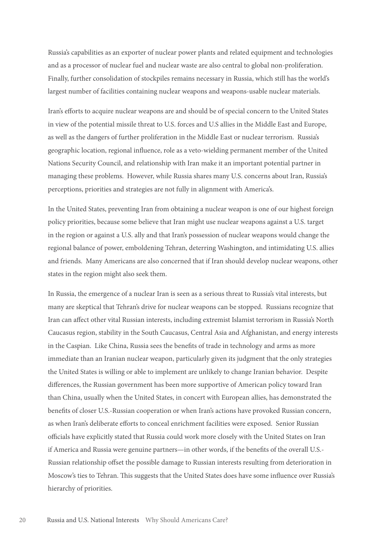Russia's capabilities as an exporter of nuclear power plants and related equipment and technologies and as a processor of nuclear fuel and nuclear waste are also central to global non-proliferation. Finally, further consolidation of stockpiles remains necessary in Russia, which still has the world's largest number of facilities containing nuclear weapons and weapons-usable nuclear materials.

Iran's efforts to acquire nuclear weapons are and should be of special concern to the United States in view of the potential missile threat to U.S. forces and U.S allies in the Middle East and Europe, as well as the dangers of further proliferation in the Middle East or nuclear terrorism. Russia's geographic location, regional influence, role as a veto-wielding permanent member of the United Nations Security Council, and relationship with Iran make it an important potential partner in managing these problems. However, while Russia shares many U.S. concerns about Iran, Russia's perceptions, priorities and strategies are not fully in alignment with America's.

In the United States, preventing Iran from obtaining a nuclear weapon is one of our highest foreign policy priorities, because some believe that Iran might use nuclear weapons against a U.S. target in the region or against a U.S. ally and that Iran's possession of nuclear weapons would change the regional balance of power, emboldening Tehran, deterring Washington, and intimidating U.S. allies and friends. Many Americans are also concerned that if Iran should develop nuclear weapons, other states in the region might also seek them.

In Russia, the emergence of a nuclear Iran is seen as a serious threat to Russia's vital interests, but many are skeptical that Tehran's drive for nuclear weapons can be stopped. Russians recognize that Iran can affect other vital Russian interests, including extremist Islamist terrorism in Russia's North Caucasus region, stability in the South Caucasus, Central Asia and Afghanistan, and energy interests in the Caspian. Like China, Russia sees the benefits of trade in technology and arms as more immediate than an Iranian nuclear weapon, particularly given its judgment that the only strategies the United States is willing or able to implement are unlikely to change Iranian behavior. Despite differences, the Russian government has been more supportive of American policy toward Iran than China, usually when the United States, in concert with European allies, has demonstrated the benefits of closer U.S.-Russian cooperation or when Iran's actions have provoked Russian concern, as when Iran's deliberate efforts to conceal enrichment facilities were exposed. Senior Russian officials have explicitly stated that Russia could work more closely with the United States on Iran if America and Russia were genuine partners—in other words, if the benefits of the overall U.S.- Russian relationship offset the possible damage to Russian interests resulting from deterioration in Moscow's ties to Tehran. This suggests that the United States does have some influence over Russia's hierarchy of priorities.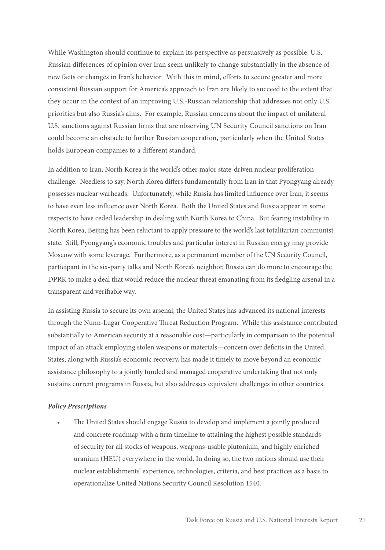While Washington should continue to explain its perspective as persuasively as possible, U.S.- Russian differences of opinion over Iran seem unlikely to change substantially in the absence of new facts or changes in Iran's behavior. With this in mind, efforts to secure greater and more consistent Russian support for America's approach to Iran are likely to succeed to the extent that they occur in the context of an improving U.S.-Russian relationship that addresses not only U.S. priorities but also Russia's aims. For example, Russian concerns about the impact of unilateral U.S. sanctions against Russian firms that are observing UN Security Council sanctions on Iran could become an obstacle to further Russian cooperation, particularly when the United States holds European companies to a different standard.

In addition to Iran, North Korea is the world's other major state-driven nuclear proliferation challenge. Needless to say, North Korea differs fundamentally from Iran in that Pyongyang already possesses nuclear warheads. Unfortunately, while Russia has limited influence over Iran, it seems to have even less influence over North Korea. Both the United States and Russia appear in some respects to have ceded leadership in dealing with North Korea to China. But fearing instability in North Korea, Beijing has been reluctant to apply pressure to the world's last totalitarian communist state. Still, Pyongyang's economic troubles and particular interest in Russian energy may provide Moscow with some leverage. Furthermore, as a permanent member of the UN Security Council, participant in the six-party talks and North Korea's neighbor, Russia can do more to encourage the DPRK to make a deal that would reduce the nuclear threat emanating from its fledgling arsenal in a transparent and verifiable way.

In assisting Russia to secure its own arsenal, the United States has advanced its national interests through the Nunn-Lugar Cooperative Threat Reduction Program. While this assistance contributed substantially to American security at a reasonable cost—particularly in comparison to the potential impact of an attack employing stolen weapons or materials—concern over deficits in the United States, along with Russia's economic recovery, has made it timely to move beyond an economic assistance philosophy to a jointly funded and managed cooperative undertaking that not only sustains current programs in Russia, but also addresses equivalent challenges in other countries.

#### *Policy Prescriptions*

• The United States should engage Russia to develop and implement a jointly produced and concrete roadmap with a firm timeline to attaining the highest possible standards of security for all stocks of weapons, weapons-usable plutonium, and highly enriched uranium (HEU) everywhere in the world. In doing so, the two nations should use their nuclear establishments' experience, technologies, criteria, and best practices as a basis to operationalize United Nations Security Council Resolution 1540.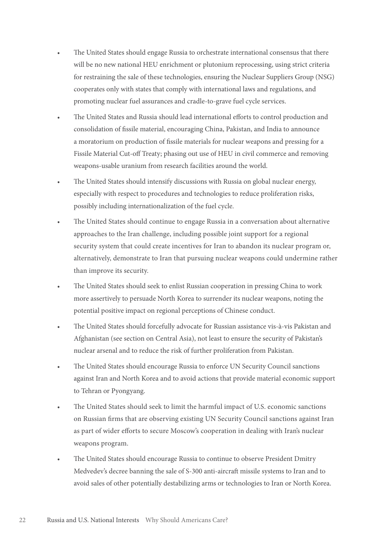- The United States should engage Russia to orchestrate international consensus that there will be no new national HEU enrichment or plutonium reprocessing, using strict criteria for restraining the sale of these technologies, ensuring the Nuclear Suppliers Group (NSG) cooperates only with states that comply with international laws and regulations, and promoting nuclear fuel assurances and cradle-to-grave fuel cycle services.
- The United States and Russia should lead international efforts to control production and consolidation of fissile material, encouraging China, Pakistan, and India to announce a moratorium on production of fissile materials for nuclear weapons and pressing for a Fissile Material Cut-off Treaty; phasing out use of HEU in civil commerce and removing weapons-usable uranium from research facilities around the world.
- The United States should intensify discussions with Russia on global nuclear energy, especially with respect to procedures and technologies to reduce proliferation risks, possibly including internationalization of the fuel cycle.
- The United States should continue to engage Russia in a conversation about alternative approaches to the Iran challenge, including possible joint support for a regional security system that could create incentives for Iran to abandon its nuclear program or, alternatively, demonstrate to Iran that pursuing nuclear weapons could undermine rather than improve its security.
- The United States should seek to enlist Russian cooperation in pressing China to work more assertively to persuade North Korea to surrender its nuclear weapons, noting the potential positive impact on regional perceptions of Chinese conduct.
- The United States should forcefully advocate for Russian assistance vis-à-vis Pakistan and Afghanistan (see section on Central Asia), not least to ensure the security of Pakistan's nuclear arsenal and to reduce the risk of further proliferation from Pakistan.
- The United States should encourage Russia to enforce UN Security Council sanctions against Iran and North Korea and to avoid actions that provide material economic support to Tehran or Pyongyang.
- The United States should seek to limit the harmful impact of U.S. economic sanctions on Russian firms that are observing existing UN Security Council sanctions against Iran as part of wider efforts to secure Moscow's cooperation in dealing with Iran's nuclear weapons program.
- The United States should encourage Russia to continue to observe President Dmitry Medvedev's decree banning the sale of S-300 anti-aircraft missile systems to Iran and to avoid sales of other potentially destabilizing arms or technologies to Iran or North Korea.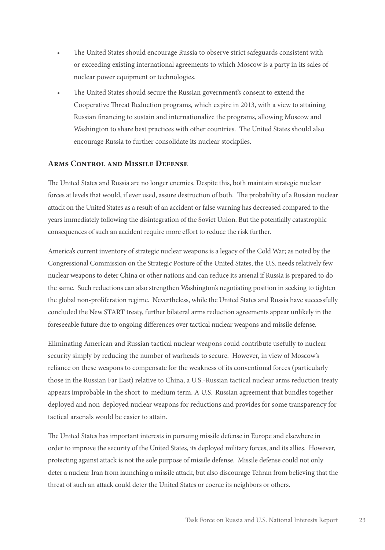- The United States should encourage Russia to observe strict safeguards consistent with or exceeding existing international agreements to which Moscow is a party in its sales of nuclear power equipment or technologies.
- The United States should secure the Russian government's consent to extend the Cooperative Threat Reduction programs, which expire in 2013, with a view to attaining Russian financing to sustain and internationalize the programs, allowing Moscow and Washington to share best practices with other countries. The United States should also encourage Russia to further consolidate its nuclear stockpiles.

#### **Arms Control and Missile Defense**

The United States and Russia are no longer enemies. Despite this, both maintain strategic nuclear forces at levels that would, if ever used, assure destruction of both. The probability of a Russian nuclear attack on the United States as a result of an accident or false warning has decreased compared to the years immediately following the disintegration of the Soviet Union. But the potentially catastrophic consequences of such an accident require more effort to reduce the risk further.

America's current inventory of strategic nuclear weapons is a legacy of the Cold War; as noted by the Congressional Commission on the Strategic Posture of the United States, the U.S. needs relatively few nuclear weapons to deter China or other nations and can reduce its arsenal if Russia is prepared to do the same. Such reductions can also strengthen Washington's negotiating position in seeking to tighten the global non-proliferation regime. Nevertheless, while the United States and Russia have successfully concluded the New START treaty, further bilateral arms reduction agreements appear unlikely in the foreseeable future due to ongoing differences over tactical nuclear weapons and missile defense.

Eliminating American and Russian tactical nuclear weapons could contribute usefully to nuclear security simply by reducing the number of warheads to secure. However, in view of Moscow's reliance on these weapons to compensate for the weakness of its conventional forces (particularly those in the Russian Far East) relative to China, a U.S.-Russian tactical nuclear arms reduction treaty appears improbable in the short-to-medium term. A U.S.-Russian agreement that bundles together deployed and non-deployed nuclear weapons for reductions and provides for some transparency for tactical arsenals would be easier to attain.

The United States has important interests in pursuing missile defense in Europe and elsewhere in order to improve the security of the United States, its deployed military forces, and its allies. However, protecting against attack is not the sole purpose of missile defense. Missile defense could not only deter a nuclear Iran from launching a missile attack, but also discourage Tehran from believing that the threat of such an attack could deter the United States or coerce its neighbors or others.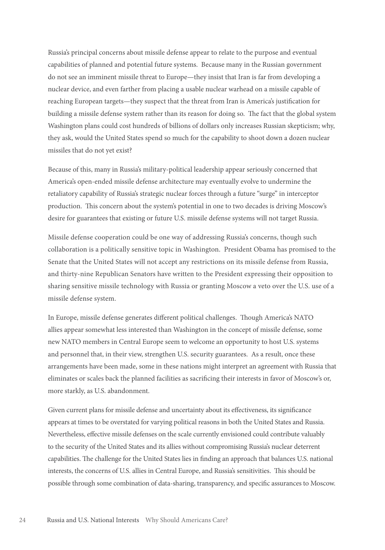Russia's principal concerns about missile defense appear to relate to the purpose and eventual capabilities of planned and potential future systems. Because many in the Russian government do not see an imminent missile threat to Europe—they insist that Iran is far from developing a nuclear device, and even farther from placing a usable nuclear warhead on a missile capable of reaching European targets—they suspect that the threat from Iran is America's justification for building a missile defense system rather than its reason for doing so. The fact that the global system Washington plans could cost hundreds of billions of dollars only increases Russian skepticism; why, they ask, would the United States spend so much for the capability to shoot down a dozen nuclear missiles that do not yet exist?

Because of this, many in Russia's military-political leadership appear seriously concerned that America's open-ended missile defense architecture may eventually evolve to undermine the retaliatory capability of Russia's strategic nuclear forces through a future "surge" in interceptor production. This concern about the system's potential in one to two decades is driving Moscow's desire for guarantees that existing or future U.S. missile defense systems will not target Russia.

Missile defense cooperation could be one way of addressing Russia's concerns, though such collaboration is a politically sensitive topic in Washington. President Obama has promised to the Senate that the United States will not accept any restrictions on its missile defense from Russia, and thirty-nine Republican Senators have written to the President expressing their opposition to sharing sensitive missile technology with Russia or granting Moscow a veto over the U.S. use of a missile defense system.

In Europe, missile defense generates different political challenges. Though America's NATO allies appear somewhat less interested than Washington in the concept of missile defense, some new NATO members in Central Europe seem to welcome an opportunity to host U.S. systems and personnel that, in their view, strengthen U.S. security guarantees. As a result, once these arrangements have been made, some in these nations might interpret an agreement with Russia that eliminates or scales back the planned facilities as sacrificing their interests in favor of Moscow's or, more starkly, as U.S. abandonment.

Given current plans for missile defense and uncertainty about its effectiveness, its significance appears at times to be overstated for varying political reasons in both the United States and Russia. Nevertheless, effective missile defenses on the scale currently envisioned could contribute valuably to the security of the United States and its allies without compromising Russia's nuclear deterrent capabilities. The challenge for the United States lies in finding an approach that balances U.S. national interests, the concerns of U.S. allies in Central Europe, and Russia's sensitivities. This should be possible through some combination of data-sharing, transparency, and specific assurances to Moscow.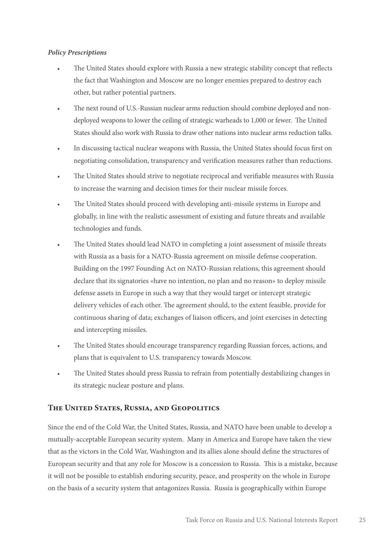#### *Policy Prescriptions*

- The United States should explore with Russia a new strategic stability concept that reflects the fact that Washington and Moscow are no longer enemies prepared to destroy each other, but rather potential partners.
- The next round of U.S.-Russian nuclear arms reduction should combine deployed and nondeployed weapons to lower the ceiling of strategic warheads to 1,000 or fewer. The United States should also work with Russia to draw other nations into nuclear arms reduction talks.
- In discussing tactical nuclear weapons with Russia, the United States should focus first on negotiating consolidation, transparency and verification measures rather than reductions.
- The United States should strive to negotiate reciprocal and verifiable measures with Russia to increase the warning and decision times for their nuclear missile forces.
- The United States should proceed with developing anti-missile systems in Europe and globally, in line with the realistic assessment of existing and future threats and available technologies and funds.
- The United States should lead NATO in completing a joint assessment of missile threats with Russia as a basis for a NATO-Russia agreement on missile defense cooperation. Building on the 1997 Founding Act on NATO-Russian relations, this agreement should declare that its signatories «have no intention, no plan and no reason» to deploy missile defense assets in Europe in such a way that they would target or intercept strategic delivery vehicles of each other. The agreement should, to the extent feasible, provide for continuous sharing of data; exchanges of liaison officers, and joint exercises in detecting and intercepting missiles.
- The United States should encourage transparency regarding Russian forces, actions, and plans that is equivalent to U.S. transparency towards Moscow.
- The United States should press Russia to refrain from potentially destabilizing changes in its strategic nuclear posture and plans.

#### **The United States, Russia, and Geopolitics**

Since the end of the Cold War, the United States, Russia, and NATO have been unable to develop a mutually-acceptable European security system. Many in America and Europe have taken the view that as the victors in the Cold War, Washington and its allies alone should define the structures of European security and that any role for Moscow is a concession to Russia. This is a mistake, because it will not be possible to establish enduring security, peace, and prosperity on the whole in Europe on the basis of a security system that antagonizes Russia. Russia is geographically within Europe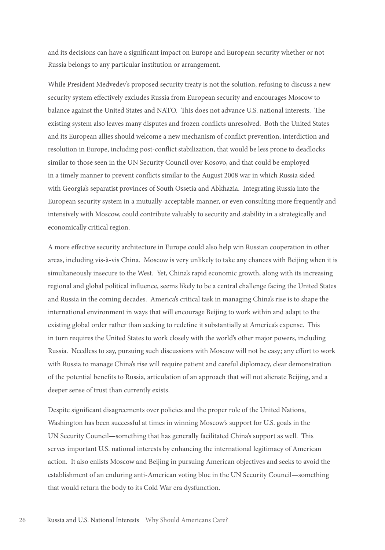and its decisions can have a significant impact on Europe and European security whether or not Russia belongs to any particular institution or arrangement.

While President Medvedev's proposed security treaty is not the solution, refusing to discuss a new security system effectively excludes Russia from European security and encourages Moscow to balance against the United States and NATO. This does not advance U.S. national interests. The existing system also leaves many disputes and frozen conflicts unresolved. Both the United States and its European allies should welcome a new mechanism of conflict prevention, interdiction and resolution in Europe, including post-conflict stabilization, that would be less prone to deadlocks similar to those seen in the UN Security Council over Kosovo, and that could be employed in a timely manner to prevent conflicts similar to the August 2008 war in which Russia sided with Georgia's separatist provinces of South Ossetia and Abkhazia. Integrating Russia into the European security system in a mutually-acceptable manner, or even consulting more frequently and intensively with Moscow, could contribute valuably to security and stability in a strategically and economically critical region.

A more effective security architecture in Europe could also help win Russian cooperation in other areas, including vis-à-vis China. Moscow is very unlikely to take any chances with Beijing when it is simultaneously insecure to the West. Yet, China's rapid economic growth, along with its increasing regional and global political influence, seems likely to be a central challenge facing the United States and Russia in the coming decades. America's critical task in managing China's rise is to shape the international environment in ways that will encourage Beijing to work within and adapt to the existing global order rather than seeking to redefine it substantially at America's expense. This in turn requires the United States to work closely with the world's other major powers, including Russia. Needless to say, pursuing such discussions with Moscow will not be easy; any effort to work with Russia to manage China's rise will require patient and careful diplomacy, clear demonstration of the potential benefits to Russia, articulation of an approach that will not alienate Beijing, and a deeper sense of trust than currently exists.

Despite significant disagreements over policies and the proper role of the United Nations, Washington has been successful at times in winning Moscow's support for U.S. goals in the UN Security Council—something that has generally facilitated China's support as well. This serves important U.S. national interests by enhancing the international legitimacy of American action. It also enlists Moscow and Beijing in pursuing American objectives and seeks to avoid the establishment of an enduring anti-American voting bloc in the UN Security Council—something that would return the body to its Cold War era dysfunction.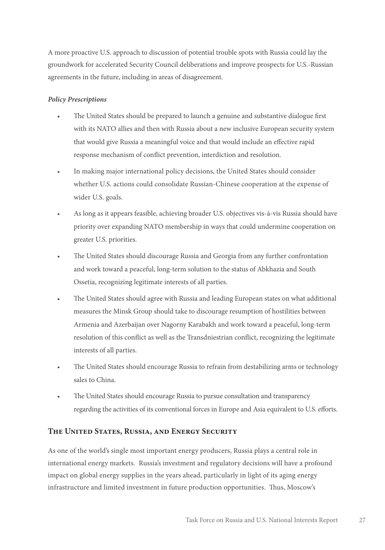A more proactive U.S. approach to discussion of potential trouble spots with Russia could lay the groundwork for accelerated Security Council deliberations and improve prospects for U.S.-Russian agreements in the future, including in areas of disagreement.

#### *Policy Prescriptions*

- The United States should be prepared to launch a genuine and substantive dialogue first with its NATO allies and then with Russia about a new inclusive European security system that would give Russia a meaningful voice and that would include an effective rapid response mechanism of conflict prevention, interdiction and resolution.
- In making major international policy decisions, the United States should consider whether U.S. actions could consolidate Russian-Chinese cooperation at the expense of wider U.S. goals.
- As long as it appears feasible, achieving broader U.S. objectives vis-à-vis Russia should have priority over expanding NATO membership in ways that could undermine cooperation on greater U.S. priorities.
- The United States should discourage Russia and Georgia from any further confrontation and work toward a peaceful, long-term solution to the status of Abkhazia and South Ossetia, recognizing legitimate interests of all parties.
- The United States should agree with Russia and leading European states on what additional measures the Minsk Group should take to discourage resumption of hostilities between Armenia and Azerbaijan over Nagorny Karabakh and work toward a peaceful, long-term resolution of this conflict as well as the Transdniestrian conflict, recognizing the legitimate interests of all parties.
- The United States should encourage Russia to refrain from destabilizing arms or technology sales to China.
- The United States should encourage Russia to pursue consultation and transparency regarding the activities of its conventional forces in Europe and Asia equivalent to U.S. efforts.

#### **The United States, Russia, and Energy Security**

As one of the world's single most important energy producers, Russia plays a central role in international energy markets. Russia's investment and regulatory decisions will have a profound impact on global energy supplies in the years ahead, particularly in light of its aging energy infrastructure and limited investment in future production opportunities. Thus, Moscow's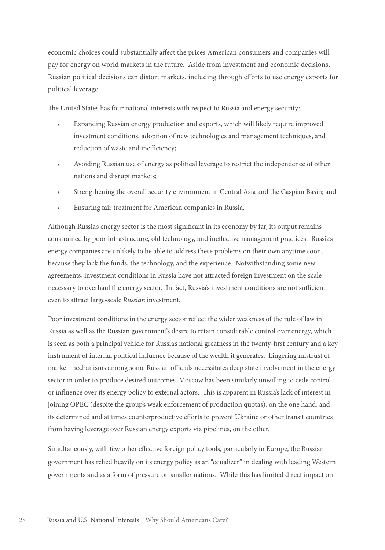economic choices could substantially affect the prices American consumers and companies will pay for energy on world markets in the future. Aside from investment and economic decisions, Russian political decisions can distort markets, including through efforts to use energy exports for political leverage.

The United States has four national interests with respect to Russia and energy security:

- Expanding Russian energy production and exports, which will likely require improved investment conditions, adoption of new technologies and management techniques, and reduction of waste and inefficiency;
- Avoiding Russian use of energy as political leverage to restrict the independence of other nations and disrupt markets;
- Strengthening the overall security environment in Central Asia and the Caspian Basin; and
- Ensuring fair treatment for American companies in Russia.

Although Russia's energy sector is the most significant in its economy by far, its output remains constrained by poor infrastructure, old technology, and ineffective management practices. Russia's energy companies are unlikely to be able to address these problems on their own anytime soon, because they lack the funds, the technology, and the experience. Notwithstanding some new agreements, investment conditions in Russia have not attracted foreign investment on the scale necessary to overhaul the energy sector. In fact, Russia's investment conditions are not sufficient even to attract large-scale *Russian* investment.

Poor investment conditions in the energy sector reflect the wider weakness of the rule of law in Russia as well as the Russian government's desire to retain considerable control over energy, which is seen as both a principal vehicle for Russia's national greatness in the twenty-first century and a key instrument of internal political influence because of the wealth it generates. Lingering mistrust of market mechanisms among some Russian officials necessitates deep state involvement in the energy sector in order to produce desired outcomes. Moscow has been similarly unwilling to cede control or influence over its energy policy to external actors. This is apparent in Russia's lack of interest in joining OPEC (despite the group's weak enforcement of production quotas), on the one hand, and its determined and at times counterproductive efforts to prevent Ukraine or other transit countries from having leverage over Russian energy exports via pipelines, on the other.

Simultaneously, with few other effective foreign policy tools, particularly in Europe, the Russian government has relied heavily on its energy policy as an "equalizer" in dealing with leading Western governments and as a form of pressure on smaller nations. While this has limited direct impact on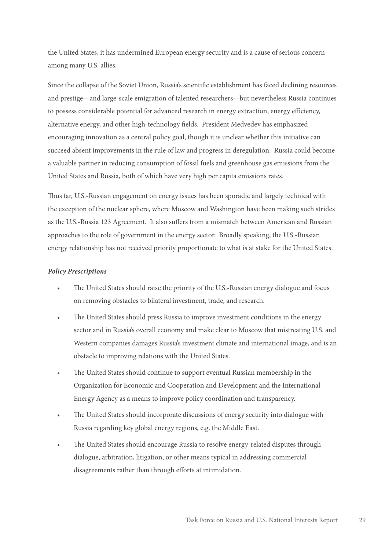the United States, it has undermined European energy security and is a cause of serious concern among many U.S. allies.

Since the collapse of the Soviet Union, Russia's scientific establishment has faced declining resources and prestige—and large-scale emigration of talented researchers—but nevertheless Russia continues to possess considerable potential for advanced research in energy extraction, energy efficiency, alternative energy, and other high-technology fields. President Medvedev has emphasized encouraging innovation as a central policy goal, though it is unclear whether this initiative can succeed absent improvements in the rule of law and progress in deregulation. Russia could become a valuable partner in reducing consumption of fossil fuels and greenhouse gas emissions from the United States and Russia, both of which have very high per capita emissions rates.

Thus far, U.S.-Russian engagement on energy issues has been sporadic and largely technical with the exception of the nuclear sphere, where Moscow and Washington have been making such strides as the U.S.-Russia 123 Agreement. It also suffers from a mismatch between American and Russian approaches to the role of government in the energy sector. Broadly speaking, the U.S.-Russian energy relationship has not received priority proportionate to what is at stake for the United States.

#### *Policy Prescriptions*

- The United States should raise the priority of the U.S.-Russian energy dialogue and focus on removing obstacles to bilateral investment, trade, and research.
- The United States should press Russia to improve investment conditions in the energy sector and in Russia's overall economy and make clear to Moscow that mistreating U.S. and Western companies damages Russia's investment climate and international image, and is an obstacle to improving relations with the United States.
- The United States should continue to support eventual Russian membership in the Organization for Economic and Cooperation and Development and the International Energy Agency as a means to improve policy coordination and transparency.
- The United States should incorporate discussions of energy security into dialogue with Russia regarding key global energy regions, e.g. the Middle East.
- The United States should encourage Russia to resolve energy-related disputes through dialogue, arbitration, litigation, or other means typical in addressing commercial disagreements rather than through efforts at intimidation.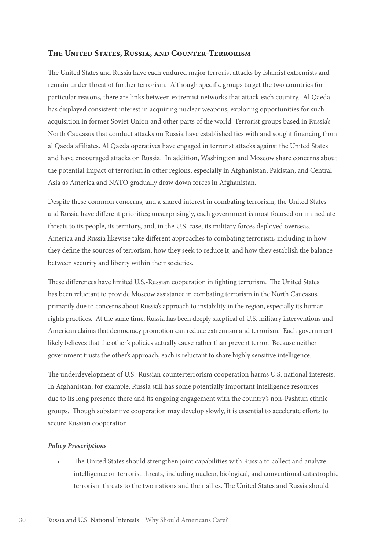#### **The United States, Russia, and Counter-Terrorism**

The United States and Russia have each endured major terrorist attacks by Islamist extremists and remain under threat of further terrorism. Although specific groups target the two countries for particular reasons, there are links between extremist networks that attack each country. Al Qaeda has displayed consistent interest in acquiring nuclear weapons, exploring opportunities for such acquisition in former Soviet Union and other parts of the world. Terrorist groups based in Russia's North Caucasus that conduct attacks on Russia have established ties with and sought financing from al Qaeda affiliates. Al Qaeda operatives have engaged in terrorist attacks against the United States and have encouraged attacks on Russia. In addition, Washington and Moscow share concerns about the potential impact of terrorism in other regions, especially in Afghanistan, Pakistan, and Central Asia as America and NATO gradually draw down forces in Afghanistan.

Despite these common concerns, and a shared interest in combating terrorism, the United States and Russia have different priorities; unsurprisingly, each government is most focused on immediate threats to its people, its territory, and, in the U.S. case, its military forces deployed overseas. America and Russia likewise take different approaches to combating terrorism, including in how they define the sources of terrorism, how they seek to reduce it, and how they establish the balance between security and liberty within their societies.

These differences have limited U.S.-Russian cooperation in fighting terrorism. The United States has been reluctant to provide Moscow assistance in combating terrorism in the North Caucasus, primarily due to concerns about Russia's approach to instability in the region, especially its human rights practices. At the same time, Russia has been deeply skeptical of U.S. military interventions and American claims that democracy promotion can reduce extremism and terrorism. Each government likely believes that the other's policies actually cause rather than prevent terror. Because neither government trusts the other's approach, each is reluctant to share highly sensitive intelligence.

The underdevelopment of U.S.-Russian counterterrorism cooperation harms U.S. national interests. In Afghanistan, for example, Russia still has some potentially important intelligence resources due to its long presence there and its ongoing engagement with the country's non-Pashtun ethnic groups. Though substantive cooperation may develop slowly, it is essential to accelerate efforts to secure Russian cooperation.

#### *Policy Prescriptions*

• The United States should strengthen joint capabilities with Russia to collect and analyze intelligence on terrorist threats, including nuclear, biological, and conventional catastrophic terrorism threats to the two nations and their allies. The United States and Russia should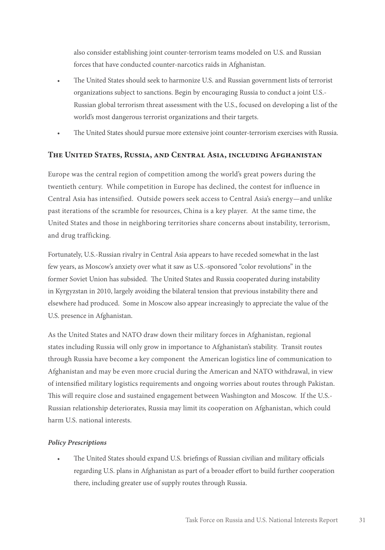also consider establishing joint counter-terrorism teams modeled on U.S. and Russian forces that have conducted counter-narcotics raids in Afghanistan.

- The United States should seek to harmonize U.S. and Russian government lists of terrorist organizations subject to sanctions. Begin by encouraging Russia to conduct a joint U.S.- Russian global terrorism threat assessment with the U.S., focused on developing a list of the world's most dangerous terrorist organizations and their targets.
- The United States should pursue more extensive joint counter-terrorism exercises with Russia.

#### **The United States, Russia, and Central Asia, including Afghanistan**

Europe was the central region of competition among the world's great powers during the twentieth century. While competition in Europe has declined, the contest for influence in Central Asia has intensified. Outside powers seek access to Central Asia's energy—and unlike past iterations of the scramble for resources, China is a key player. At the same time, the United States and those in neighboring territories share concerns about instability, terrorism, and drug trafficking.

Fortunately, U.S.-Russian rivalry in Central Asia appears to have receded somewhat in the last few years, as Moscow's anxiety over what it saw as U.S.-sponsored "color revolutions" in the former Soviet Union has subsided. The United States and Russia cooperated during instability in Kyrgyzstan in 2010, largely avoiding the bilateral tension that previous instability there and elsewhere had produced. Some in Moscow also appear increasingly to appreciate the value of the U.S. presence in Afghanistan.

As the United States and NATO draw down their military forces in Afghanistan, regional states including Russia will only grow in importance to Afghanistan's stability. Transit routes through Russia have become a key component the American logistics line of communication to Afghanistan and may be even more crucial during the American and NATO withdrawal, in view of intensified military logistics requirements and ongoing worries about routes through Pakistan. This will require close and sustained engagement between Washington and Moscow. If the U.S.- Russian relationship deteriorates, Russia may limit its cooperation on Afghanistan, which could harm U.S. national interests.

#### *Policy Prescriptions*

• The United States should expand U.S. briefings of Russian civilian and military officials regarding U.S. plans in Afghanistan as part of a broader effort to build further cooperation there, including greater use of supply routes through Russia.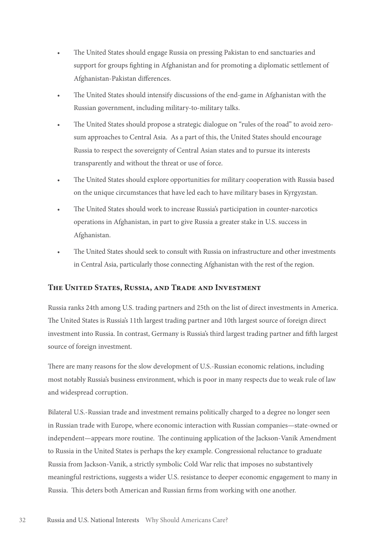- The United States should engage Russia on pressing Pakistan to end sanctuaries and support for groups fighting in Afghanistan and for promoting a diplomatic settlement of Afghanistan-Pakistan differences.
- The United States should intensify discussions of the end-game in Afghanistan with the Russian government, including military-to-military talks.
- The United States should propose a strategic dialogue on "rules of the road" to avoid zerosum approaches to Central Asia. As a part of this, the United States should encourage Russia to respect the sovereignty of Central Asian states and to pursue its interests transparently and without the threat or use of force.
- The United States should explore opportunities for military cooperation with Russia based on the unique circumstances that have led each to have military bases in Kyrgyzstan.
- The United States should work to increase Russia's participation in counter-narcotics operations in Afghanistan, in part to give Russia a greater stake in U.S. success in Afghanistan.
- The United States should seek to consult with Russia on infrastructure and other investments in Central Asia, particularly those connecting Afghanistan with the rest of the region.

#### **The United States, Russia, and Trade and Investment**

Russia ranks 24th among U.S. trading partners and 25th on the list of direct investments in America. The United States is Russia's 11th largest trading partner and 10th largest source of foreign direct investment into Russia. In contrast, Germany is Russia's third largest trading partner and fifth largest source of foreign investment.

There are many reasons for the slow development of U.S.-Russian economic relations, including most notably Russia's business environment, which is poor in many respects due to weak rule of law and widespread corruption.

Bilateral U.S.-Russian trade and investment remains politically charged to a degree no longer seen in Russian trade with Europe, where economic interaction with Russian companies—state-owned or independent—appears more routine. The continuing application of the Jackson-Vanik Amendment to Russia in the United States is perhaps the key example. Congressional reluctance to graduate Russia from Jackson-Vanik, a strictly symbolic Cold War relic that imposes no substantively meaningful restrictions, suggests a wider U.S. resistance to deeper economic engagement to many in Russia. This deters both American and Russian firms from working with one another.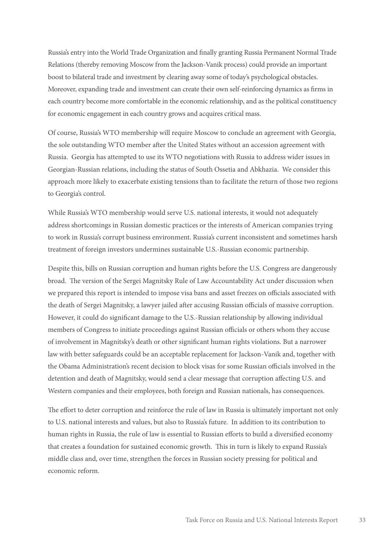Russia's entry into the World Trade Organization and finally granting Russia Permanent Normal Trade Relations (thereby removing Moscow from the Jackson-Vanik process) could provide an important boost to bilateral trade and investment by clearing away some of today's psychological obstacles. Moreover, expanding trade and investment can create their own self-reinforcing dynamics as firms in each country become more comfortable in the economic relationship, and as the political constituency for economic engagement in each country grows and acquires critical mass.

Of course, Russia's WTO membership will require Moscow to conclude an agreement with Georgia, the sole outstanding WTO member after the United States without an accession agreement with Russia. Georgia has attempted to use its WTO negotiations with Russia to address wider issues in Georgian-Russian relations, including the status of South Ossetia and Abkhazia. We consider this approach more likely to exacerbate existing tensions than to facilitate the return of those two regions to Georgia's control.

While Russia's WTO membership would serve U.S. national interests, it would not adequately address shortcomings in Russian domestic practices or the interests of American companies trying to work in Russia's corrupt business environment. Russia's current inconsistent and sometimes harsh treatment of foreign investors undermines sustainable U.S.-Russian economic partnership.

Despite this, bills on Russian corruption and human rights before the U.S. Congress are dangerously broad. The version of the Sergei Magnitsky Rule of Law Accountability Act under discussion when we prepared this report is intended to impose visa bans and asset freezes on officials associated with the death of Sergei Magnitsky, a lawyer jailed after accusing Russian officials of massive corruption. However, it could do significant damage to the U.S.-Russian relationship by allowing individual members of Congress to initiate proceedings against Russian officials or others whom they accuse of involvement in Magnitsky's death or other significant human rights violations. But a narrower law with better safeguards could be an acceptable replacement for Jackson-Vanik and, together with the Obama Administration's recent decision to block visas for some Russian officials involved in the detention and death of Magnitsky, would send a clear message that corruption affecting U.S. and Western companies and their employees, both foreign and Russian nationals, has consequences.

The effort to deter corruption and reinforce the rule of law in Russia is ultimately important not only to U.S. national interests and values, but also to Russia's future. In addition to its contribution to human rights in Russia, the rule of law is essential to Russian efforts to build a diversified economy that creates a foundation for sustained economic growth. This in turn is likely to expand Russia's middle class and, over time, strengthen the forces in Russian society pressing for political and economic reform.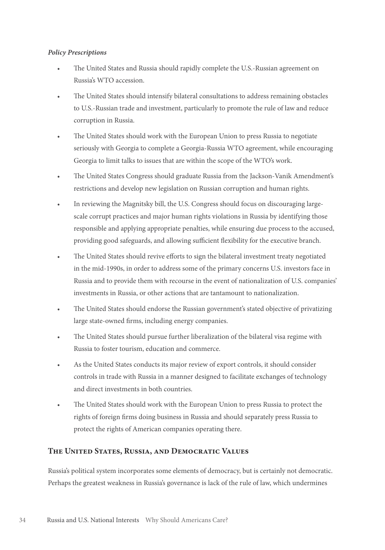#### *Policy Prescriptions*

- The United States and Russia should rapidly complete the U.S.-Russian agreement on Russia's WTO accession.
- The United States should intensify bilateral consultations to address remaining obstacles to U.S.-Russian trade and investment, particularly to promote the rule of law and reduce corruption in Russia.
- The United States should work with the European Union to press Russia to negotiate seriously with Georgia to complete a Georgia-Russia WTO agreement, while encouraging Georgia to limit talks to issues that are within the scope of the WTO's work.
- The United States Congress should graduate Russia from the Jackson-Vanik Amendment's restrictions and develop new legislation on Russian corruption and human rights.
- In reviewing the Magnitsky bill, the U.S. Congress should focus on discouraging largescale corrupt practices and major human rights violations in Russia by identifying those responsible and applying appropriate penalties, while ensuring due process to the accused, providing good safeguards, and allowing sufficient flexibility for the executive branch.
- The United States should revive efforts to sign the bilateral investment treaty negotiated in the mid-1990s, in order to address some of the primary concerns U.S. investors face in Russia and to provide them with recourse in the event of nationalization of U.S. companies' investments in Russia, or other actions that are tantamount to nationalization.
- The United States should endorse the Russian government's stated objective of privatizing large state-owned firms, including energy companies.
- The United States should pursue further liberalization of the bilateral visa regime with Russia to foster tourism, education and commerce.
- As the United States conducts its major review of export controls, it should consider controls in trade with Russia in a manner designed to facilitate exchanges of technology and direct investments in both countries.
- The United States should work with the European Union to press Russia to protect the rights of foreign firms doing business in Russia and should separately press Russia to protect the rights of American companies operating there.

#### **The United States, Russia, and Democratic Values**

Russia's political system incorporates some elements of democracy, but is certainly not democratic. Perhaps the greatest weakness in Russia's governance is lack of the rule of law, which undermines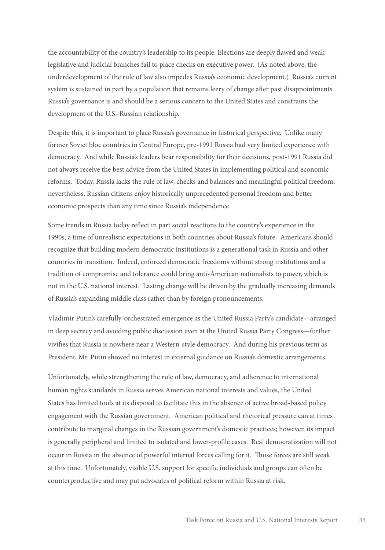the accountability of the country's leadership to its people. Elections are deeply flawed and weak legislative and judicial branches fail to place checks on executive power. (As noted above, the underdevelopment of the rule of law also impedes Russia's economic development.) Russia's current system is sustained in part by a population that remains leery of change after past disappointments. Russia's governance is and should be a serious concern to the United States and constrains the development of the U.S.-Russian relationship.

Despite this, it is important to place Russia's governance in historical perspective. Unlike many former Soviet bloc countries in Central Europe, pre-1991 Russia had very limited experience with democracy. And while Russia's leaders bear responsibility for their decisions, post-1991 Russia did not always receive the best advice from the United States in implementing political and economic reforms. Today, Russia lacks the rule of law, checks and balances and meaningful political freedom; nevertheless, Russian citizens enjoy historically unprecedented personal freedom and better economic prospects than any time since Russia's independence.

Some trends in Russia today reflect in part social reactions to the country's experience in the 1990s, a time of unrealistic expectations in both countries about Russia's future. Americans should recognize that building modern democratic institutions is a generational task in Russia and other countries in transition. Indeed, enforced democratic freedoms without strong institutions and a tradition of compromise and tolerance could bring anti-American nationalists to power, which is not in the U.S. national interest. Lasting change will be driven by the gradually increasing demands of Russia's expanding middle class rather than by foreign pronouncements.

Vladimir Putin's carefully-orchestrated emergence as the United Russia Party's candidate—arranged in deep secrecy and avoiding public discussion even at the United Russia Party Congress—further vivifies that Russia is nowhere near a Western-style democracy. And during his previous term as President, Mr. Putin showed no interest in external guidance on Russia's domestic arrangements.

Unfortunately, while strengthening the rule of law, democracy, and adherence to international human rights standards in Russia serves American national interests and values, the United States has limited tools at its disposal to facilitate this in the absence of active broad-based policy engagement with the Russian government. American political and rhetorical pressure can at times contribute to marginal changes in the Russian government's domestic practices; however, its impact is generally peripheral and limited to isolated and lower-profile cases. Real democratization will not occur in Russia in the absence of powerful internal forces calling for it. Those forces are still weak at this time. Unfortunately, visible U.S. support for specific individuals and groups can often be counterproductive and may put advocates of political reform within Russia at risk.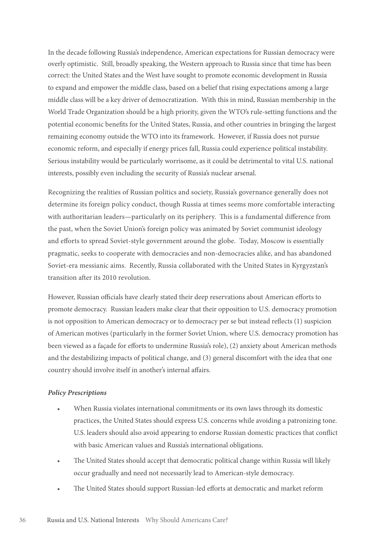In the decade following Russia's independence, American expectations for Russian democracy were overly optimistic. Still, broadly speaking, the Western approach to Russia since that time has been correct: the United States and the West have sought to promote economic development in Russia to expand and empower the middle class, based on a belief that rising expectations among a large middle class will be a key driver of democratization. With this in mind, Russian membership in the World Trade Organization should be a high priority, given the WTO's rule-setting functions and the potential economic benefits for the United States, Russia, and other countries in bringing the largest remaining economy outside the WTO into its framework. However, if Russia does not pursue economic reform, and especially if energy prices fall, Russia could experience political instability. Serious instability would be particularly worrisome, as it could be detrimental to vital U.S. national interests, possibly even including the security of Russia's nuclear arsenal.

Recognizing the realities of Russian politics and society, Russia's governance generally does not determine its foreign policy conduct, though Russia at times seems more comfortable interacting with authoritarian leaders—particularly on its periphery. This is a fundamental difference from the past, when the Soviet Union's foreign policy was animated by Soviet communist ideology and efforts to spread Soviet-style government around the globe. Today, Moscow is essentially pragmatic, seeks to cooperate with democracies and non-democracies alike, and has abandoned Soviet-era messianic aims. Recently, Russia collaborated with the United States in Kyrgyzstan's transition after its 2010 revolution.

However, Russian officials have clearly stated their deep reservations about American efforts to promote democracy. Russian leaders make clear that their opposition to U.S. democracy promotion is not opposition to American democracy or to democracy per se but instead reflects (1) suspicion of American motives (particularly in the former Soviet Union, where U.S. democracy promotion has been viewed as a façade for efforts to undermine Russia's role), (2) anxiety about American methods and the destabilizing impacts of political change, and (3) general discomfort with the idea that one country should involve itself in another's internal affairs.

#### *Policy Prescriptions*

- When Russia violates international commitments or its own laws through its domestic practices, the United States should express U.S. concerns while avoiding a patronizing tone. U.S. leaders should also avoid appearing to endorse Russian domestic practices that conflict with basic American values and Russia's international obligations.
- The United States should accept that democratic political change within Russia will likely occur gradually and need not necessarily lead to American-style democracy.
- The United States should support Russian-led efforts at democratic and market reform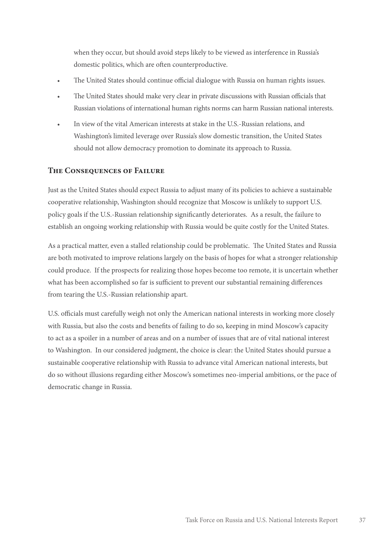when they occur, but should avoid steps likely to be viewed as interference in Russia's domestic politics, which are often counterproductive.

- The United States should continue official dialogue with Russia on human rights issues.
- The United States should make very clear in private discussions with Russian officials that Russian violations of international human rights norms can harm Russian national interests.
- In view of the vital American interests at stake in the U.S.-Russian relations, and Washington's limited leverage over Russia's slow domestic transition, the United States should not allow democracy promotion to dominate its approach to Russia.

#### **The Consequences of Failure**

Just as the United States should expect Russia to adjust many of its policies to achieve a sustainable cooperative relationship, Washington should recognize that Moscow is unlikely to support U.S. policy goals if the U.S.-Russian relationship significantly deteriorates. As a result, the failure to establish an ongoing working relationship with Russia would be quite costly for the United States.

As a practical matter, even a stalled relationship could be problematic. The United States and Russia are both motivated to improve relations largely on the basis of hopes for what a stronger relationship could produce. If the prospects for realizing those hopes become too remote, it is uncertain whether what has been accomplished so far is sufficient to prevent our substantial remaining differences from tearing the U.S.-Russian relationship apart.

U.S. officials must carefully weigh not only the American national interests in working more closely with Russia, but also the costs and benefits of failing to do so, keeping in mind Moscow's capacity to act as a spoiler in a number of areas and on a number of issues that are of vital national interest to Washington. In our considered judgment, the choice is clear: the United States should pursue a sustainable cooperative relationship with Russia to advance vital American national interests, but do so without illusions regarding either Moscow's sometimes neo-imperial ambitions, or the pace of democratic change in Russia.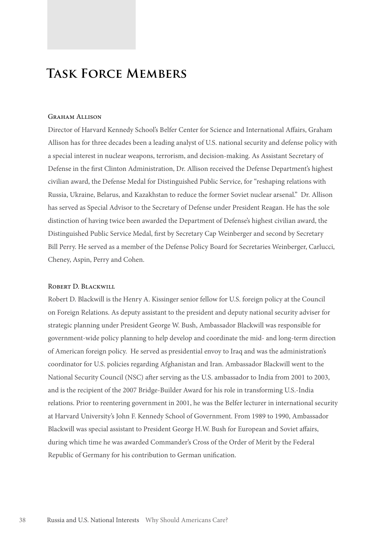## **Task Force Members**

#### GRAHAM ALLISON

Director of Harvard Kennedy School's Belfer Center for Science and International Affairs, Graham Allison has for three decades been a leading analyst of U.S. national security and defense policy with a special interest in nuclear weapons, terrorism, and decision-making. As Assistant Secretary of Defense in the first Clinton Administration, Dr. Allison received the Defense Department's highest civilian award, the Defense Medal for Distinguished Public Service, for "reshaping relations with Russia, Ukraine, Belarus, and Kazakhstan to reduce the former Soviet nuclear arsenal." Dr. Allison has served as Special Advisor to the Secretary of Defense under President Reagan. He has the sole distinction of having twice been awarded the Department of Defense's highest civilian award, the Distinguished Public Service Medal, first by Secretary Cap Weinberger and second by Secretary Bill Perry. He served as a member of the Defense Policy Board for Secretaries Weinberger, Carlucci, Cheney, Aspin, Perry and Cohen.

#### Robert D. Blackwill

Robert D. Blackwill is the Henry A. Kissinger senior fellow for U.S. foreign policy at the Council on Foreign Relations. As deputy assistant to the president and deputy national security adviser for strategic planning under President George W. Bush, Ambassador Blackwill was responsible for government-wide policy planning to help develop and coordinate the mid- and long-term direction of American foreign policy. He served as presidential envoy to Iraq and was the administration's coordinator for U.S. policies regarding Afghanistan and Iran. Ambassador Blackwill went to the National Security Council (NSC) after serving as the U.S. ambassador to India from 2001 to 2003, and is the recipient of the 2007 Bridge-Builder Award for his role in transforming U.S.-India relations. Prior to reentering government in 2001, he was the Belfer lecturer in international security at Harvard University's John F. Kennedy School of Government. From 1989 to 1990, Ambassador Blackwill was special assistant to President George H.W. Bush for European and Soviet affairs, during which time he was awarded Commander's Cross of the Order of Merit by the Federal Republic of Germany for his contribution to German unification.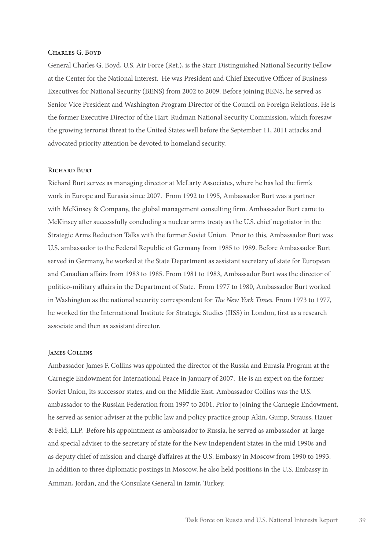#### Charles G. Boyd

General Charles G. Boyd, U.S. Air Force (Ret.), is the Starr Distinguished National Security Fellow at the Center for the National Interest. He was President and Chief Executive Officer of Business Executives for National Security (BENS) from 2002 to 2009. Before joining BENS, he served as Senior Vice President and Washington Program Director of the Council on Foreign Relations. He is the former Executive Director of the Hart-Rudman National Security Commission, which foresaw the growing terrorist threat to the United States well before the September 11, 2011 attacks and advocated priority attention be devoted to homeland security.

#### RICHARD BURT

Richard Burt serves as managing director at McLarty Associates, where he has led the firm's work in Europe and Eurasia since 2007. From 1992 to 1995, Ambassador Burt was a partner with McKinsey & Company, the global management consulting firm. Ambassador Burt came to McKinsey after successfully concluding a nuclear arms treaty as the U.S. chief negotiator in the Strategic Arms Reduction Talks with the former Soviet Union. Prior to this, Ambassador Burt was U.S. ambassador to the Federal Republic of Germany from 1985 to 1989. Before Ambassador Burt served in Germany, he worked at the State Department as assistant secretary of state for European and Canadian affairs from 1983 to 1985. From 1981 to 1983, Ambassador Burt was the director of politico-military affairs in the Department of State. From 1977 to 1980, Ambassador Burt worked in Washington as the national security correspondent for *The New York Times*. From 1973 to 1977, he worked for the International Institute for Strategic Studies (IISS) in London, first as a research associate and then as assistant director.

#### James Collins

Ambassador James F. Collins was appointed the director of the Russia and Eurasia Program at the Carnegie Endowment for International Peace in January of 2007. He is an expert on the former Soviet Union, its successor states, and on the Middle East. Ambassador Collins was the U.S. ambassador to the Russian Federation from 1997 to 2001. Prior to joining the Carnegie Endowment, he served as senior adviser at the public law and policy practice group Akin, Gump, Strauss, Hauer & Feld, LLP. Before his appointment as ambassador to Russia, he served as ambassador-at-large and special adviser to the secretary of state for the New Independent States in the mid 1990s and as deputy chief of mission and chargé d'affaires at the U.S. Embassy in Moscow from 1990 to 1993. In addition to three diplomatic postings in Moscow, he also held positions in the U.S. Embassy in Amman, Jordan, and the Consulate General in Izmir, Turkey.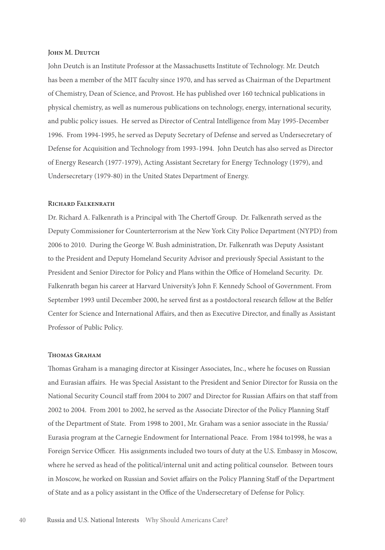#### JOHN M. DEUTCH

John Deutch is an Institute Professor at the Massachusetts Institute of Technology. Mr. Deutch has been a member of the MIT faculty since 1970, and has served as Chairman of the Department of Chemistry, Dean of Science, and Provost. He has published over 160 technical publications in physical chemistry, as well as numerous publications on technology, energy, international security, and public policy issues. He served as Director of Central Intelligence from May 1995-December 1996. From 1994-1995, he served as Deputy Secretary of Defense and served as Undersecretary of Defense for Acquisition and Technology from 1993-1994. John Deutch has also served as Director of Energy Research (1977-1979), Acting Assistant Secretary for Energy Technology (1979), and Undersecretary (1979-80) in the United States Department of Energy.

#### Richard Falkenrath

Dr. Richard A. Falkenrath is a Principal with The Chertoff Group. Dr. Falkenrath served as the Deputy Commissioner for Counterterrorism at the New York City Police Department (NYPD) from 2006 to 2010. During the George W. Bush administration, Dr. Falkenrath was Deputy Assistant to the President and Deputy Homeland Security Advisor and previously Special Assistant to the President and Senior Director for Policy and Plans within the Office of Homeland Security. Dr. Falkenrath began his career at Harvard University's John F. Kennedy School of Government. From September 1993 until December 2000, he served first as a postdoctoral research fellow at the Belfer Center for Science and International Affairs, and then as Executive Director, and finally as Assistant Professor of Public Policy.

#### Thomas Graham

Thomas Graham is a managing director at Kissinger Associates, Inc., where he focuses on Russian and Eurasian affairs. He was Special Assistant to the President and Senior Director for Russia on the National Security Council staff from 2004 to 2007 and Director for Russian Affairs on that staff from 2002 to 2004. From 2001 to 2002, he served as the Associate Director of the Policy Planning Staff of the Department of State. From 1998 to 2001, Mr. Graham was a senior associate in the Russia/ Eurasia program at the Carnegie Endowment for International Peace. From 1984 to1998, he was a Foreign Service Officer. His assignments included two tours of duty at the U.S. Embassy in Moscow, where he served as head of the political/internal unit and acting political counselor. Between tours in Moscow, he worked on Russian and Soviet affairs on the Policy Planning Staff of the Department of State and as a policy assistant in the Office of the Undersecretary of Defense for Policy.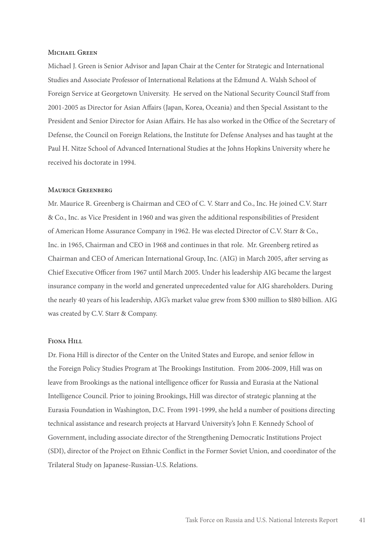#### Michael Green

Michael J. Green is Senior Advisor and Japan Chair at the Center for Strategic and International Studies and Associate Professor of International Relations at the Edmund A. Walsh School of Foreign Service at Georgetown University. He served on the National Security Council Staff from 2001-2005 as Director for Asian Affairs (Japan, Korea, Oceania) and then Special Assistant to the President and Senior Director for Asian Affairs. He has also worked in the Office of the Secretary of Defense, the Council on Foreign Relations, the Institute for Defense Analyses and has taught at the Paul H. Nitze School of Advanced International Studies at the Johns Hopkins University where he received his doctorate in 1994.

#### Maurice Greenberg

Mr. Maurice R. Greenberg is Chairman and CEO of C. V. Starr and Co., Inc. He joined C.V. Starr & Co., Inc. as Vice President in 1960 and was given the additional responsibilities of President of American Home Assurance Company in 1962. He was elected Director of C.V. Starr & Co., Inc. in 1965, Chairman and CEO in 1968 and continues in that role. Mr. Greenberg retired as Chairman and CEO of American International Group, Inc. (AIG) in March 2005, after serving as Chief Executive Officer from 1967 until March 2005. Under his leadership AIG became the largest insurance company in the world and generated unprecedented value for AIG shareholders. During the nearly 40 years of his leadership, AIG's market value grew from \$300 million to \$l80 billion. AIG was created by C.V. Starr & Company.

#### Fiona Hill

Dr. Fiona Hill is director of the Center on the United States and Europe, and senior fellow in the Foreign Policy Studies Program at The Brookings Institution. From 2006-2009, Hill was on leave from Brookings as the national intelligence officer for Russia and Eurasia at the National Intelligence Council. Prior to joining Brookings, Hill was director of strategic planning at the Eurasia Foundation in Washington, D.C. From 1991-1999, she held a number of positions directing technical assistance and research projects at Harvard University's John F. Kennedy School of Government, including associate director of the Strengthening Democratic Institutions Project (SDI), director of the Project on Ethnic Conflict in the Former Soviet Union, and coordinator of the Trilateral Study on Japanese-Russian-U.S. Relations.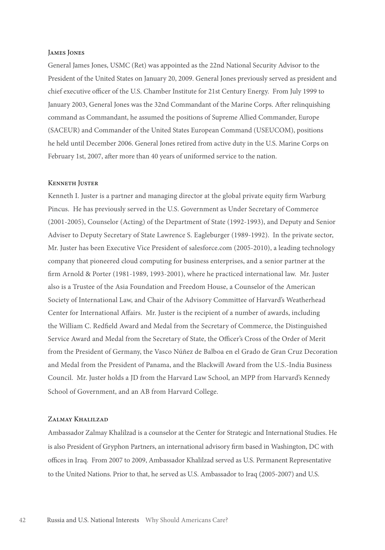#### James Jones

General James Jones, USMC (Ret) was appointed as the 22nd National Security Advisor to the President of the United States on January 20, 2009. General Jones previously served as president and chief executive officer of the U.S. Chamber Institute for 21st Century Energy. From July 1999 to January 2003, General Jones was the 32nd Commandant of the Marine Corps. After relinquishing command as Commandant, he assumed the positions of Supreme Allied Commander, Europe (SACEUR) and Commander of the United States European Command (USEUCOM), positions he held until December 2006. General Jones retired from active duty in the U.S. Marine Corps on February 1st, 2007, after more than 40 years of uniformed service to the nation.

#### Kenneth Juster

Kenneth I. Juster is a partner and managing director at the global private equity firm Warburg Pincus. He has previously served in the U.S. Government as Under Secretary of Commerce (2001-2005), Counselor (Acting) of the Department of State (1992-1993), and Deputy and Senior Adviser to Deputy Secretary of State Lawrence S. Eagleburger (1989-1992). In the private sector, Mr. Juster has been Executive Vice President of salesforce.com (2005-2010), a leading technology company that pioneered cloud computing for business enterprises, and a senior partner at the firm Arnold & Porter (1981-1989, 1993-2001), where he practiced international law. Mr. Juster also is a Trustee of the Asia Foundation and Freedom House, a Counselor of the American Society of International Law, and Chair of the Advisory Committee of Harvard's Weatherhead Center for International Affairs. Mr. Juster is the recipient of a number of awards, including the William C. Redfield Award and Medal from the Secretary of Commerce, the Distinguished Service Award and Medal from the Secretary of State, the Officer's Cross of the Order of Merit from the President of Germany, the Vasco Núñez de Balboa en el Grado de Gran Cruz Decoration and Medal from the President of Panama, and the Blackwill Award from the U.S.-India Business Council. Mr. Juster holds a JD from the Harvard Law School, an MPP from Harvard's Kennedy School of Government, and an AB from Harvard College.

#### Zalmay Khalilzad

Ambassador Zalmay Khalilzad is a counselor at the Center for Strategic and International Studies. He is also President of Gryphon Partners, an international advisory firm based in Washington, DC with offices in Iraq. From 2007 to 2009, Ambassador Khalilzad served as U.S. Permanent Representative to the United Nations. Prior to that, he served as U.S. Ambassador to Iraq (2005-2007) and U.S.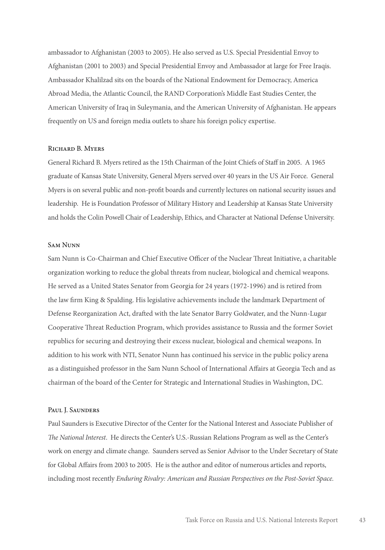ambassador to Afghanistan (2003 to 2005). He also served as U.S. Special Presidential Envoy to Afghanistan (2001 to 2003) and Special Presidential Envoy and Ambassador at large for Free Iraqis. Ambassador Khalilzad sits on the boards of the National Endowment for Democracy, America Abroad Media, the Atlantic Council, the RAND Corporation's Middle East Studies Center, the American University of Iraq in Suleymania, and the American University of Afghanistan. He appears frequently on US and foreign media outlets to share his foreign policy expertise.

#### Richard B. Myers

General Richard B. Myers retired as the 15th Chairman of the Joint Chiefs of Staff in 2005. A 1965 graduate of Kansas State University, General Myers served over 40 years in the US Air Force. General Myers is on several public and non-profit boards and currently lectures on national security issues and leadership. He is Foundation Professor of Military History and Leadership at Kansas State University and holds the Colin Powell Chair of Leadership, Ethics, and Character at National Defense University.

#### Sam Nunn

Sam Nunn is Co-Chairman and Chief Executive Officer of the Nuclear Threat Initiative, a charitable organization working to reduce the global threats from nuclear, biological and chemical weapons. He served as a United States Senator from Georgia for 24 years (1972-1996) and is retired from the law firm King & Spalding. His legislative achievements include the landmark Department of Defense Reorganization Act, drafted with the late Senator Barry Goldwater, and the Nunn-Lugar Cooperative Threat Reduction Program, which provides assistance to Russia and the former Soviet republics for securing and destroying their excess nuclear, biological and chemical weapons. In addition to his work with NTI, Senator Nunn has continued his service in the public policy arena as a distinguished professor in the Sam Nunn School of International Affairs at Georgia Tech and as chairman of the board of the Center for Strategic and International Studies in Washington, DC.

#### PAUL J. SAUNDERS

Paul Saunders is Executive Director of the Center for the National Interest and Associate Publisher of *The National Interest*. He directs the Center's U.S.-Russian Relations Program as well as the Center's work on energy and climate change. Saunders served as Senior Advisor to the Under Secretary of State for Global Affairs from 2003 to 2005. He is the author and editor of numerous articles and reports, including most recently *Enduring Rivalry: American and Russian Perspectives on the Post-Soviet Space.*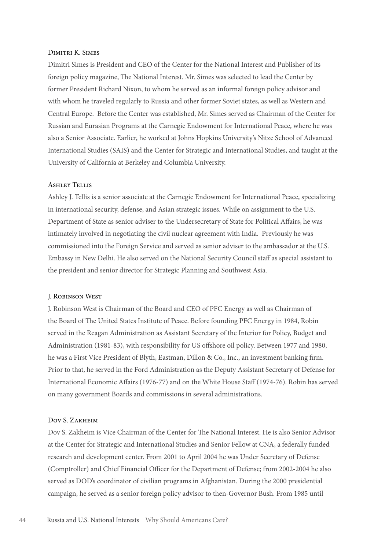#### Dimitri K. Simes

Dimitri Simes is President and CEO of the Center for the National Interest and Publisher of its foreign policy magazine, The National Interest. Mr. Simes was selected to lead the Center by former President Richard Nixon, to whom he served as an informal foreign policy advisor and with whom he traveled regularly to Russia and other former Soviet states, as well as Western and Central Europe. Before the Center was established, Mr. Simes served as Chairman of the Center for Russian and Eurasian Programs at the Carnegie Endowment for International Peace, where he was also a Senior Associate. Earlier, he worked at Johns Hopkins University's Nitze School of Advanced International Studies (SAIS) and the Center for Strategic and International Studies, and taught at the University of California at Berkeley and Columbia University.

#### Ashley Tellis

Ashley J. Tellis is a senior associate at the Carnegie Endowment for International Peace, specializing in international security, defense, and Asian strategic issues. While on assignment to the U.S. Department of State as senior adviser to the Undersecretary of State for Political Affairs, he was intimately involved in negotiating the civil nuclear agreement with India. Previously he was commissioned into the Foreign Service and served as senior adviser to the ambassador at the U.S. Embassy in New Delhi. He also served on the National Security Council staff as special assistant to the president and senior director for Strategic Planning and Southwest Asia.

#### J. Robinson West

J. Robinson West is Chairman of the Board and CEO of PFC Energy as well as Chairman of the Board of The United States Institute of Peace. Before founding PFC Energy in 1984, Robin served in the Reagan Administration as Assistant Secretary of the Interior for Policy, Budget and Administration (1981-83), with responsibility for US offshore oil policy. Between 1977 and 1980, he was a First Vice President of Blyth, Eastman, Dillon & Co., Inc., an investment banking firm. Prior to that, he served in the Ford Administration as the Deputy Assistant Secretary of Defense for International Economic Affairs (1976-77) and on the White House Staff (1974-76). Robin has served on many government Boards and commissions in several administrations.

#### DOV S. ZAKHEIM

Dov S. Zakheim is Vice Chairman of the Center for The National Interest. He is also Senior Advisor at the Center for Strategic and International Studies and Senior Fellow at CNA, a federally funded research and development center. From 2001 to April 2004 he was Under Secretary of Defense (Comptroller) and Chief Financial Officer for the Department of Defense; from 2002-2004 he also served as DOD's coordinator of civilian programs in Afghanistan. During the 2000 presidential campaign, he served as a senior foreign policy advisor to then-Governor Bush. From 1985 until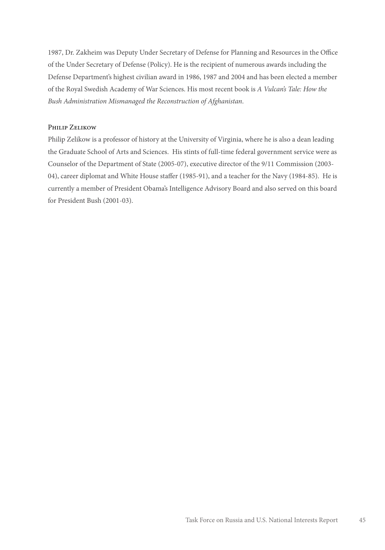1987, Dr. Zakheim was Deputy Under Secretary of Defense for Planning and Resources in the Office of the Under Secretary of Defense (Policy). He is the recipient of numerous awards including the Defense Department's highest civilian award in 1986, 1987 and 2004 and has been elected a member of the Royal Swedish Academy of War Sciences. His most recent book is *A Vulcan's Tale: How the Bush Administration Mismanaged the Reconstruction of Afghanistan*.

#### Philip Zelikow

Philip Zelikow is a professor of history at the University of Virginia, where he is also a dean leading the Graduate School of Arts and Sciences. His stints of full-time federal government service were as Counselor of the Department of State (2005-07), executive director of the 9/11 Commission (2003- 04), career diplomat and White House staffer (1985-91), and a teacher for the Navy (1984-85). He is currently a member of President Obama's Intelligence Advisory Board and also served on this board for President Bush (2001-03).